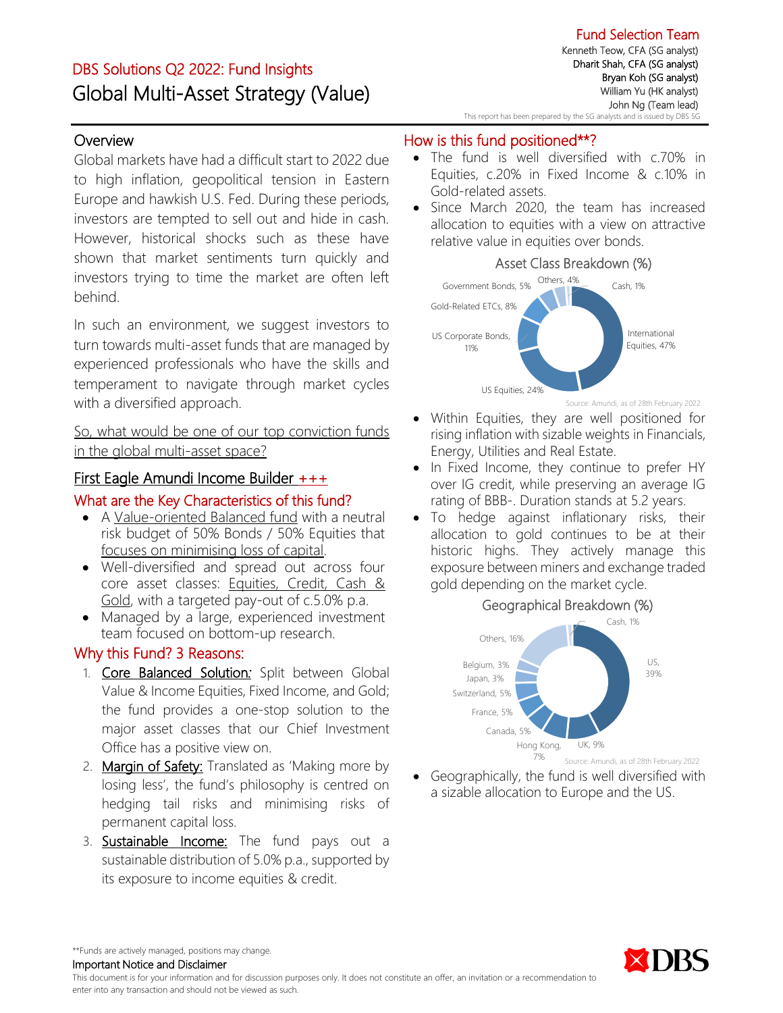# DBS Solutions Q2 2022: Fund Insights Global Multi-Asset Strategy (Value)

## **Overview**

Global markets have had a difficult start to 2022 due to high inflation, geopolitical tension in Eastern Europe and hawkish U.S. Fed. During these periods, investors are tempted to sell out and hide in cash. However, historical shocks such as these have shown that market sentiments turn quickly and investors trying to time the market are often left behind.

In such an environment, we suggest investors to turn towards multi-asset funds that are managed by experienced professionals who have the skills and temperament to navigate through market cycles with a diversified approach.

So, what would be one of our top conviction funds in the global multi-asset space?

## First Eagle Amundi Income Builder +++

### What are the Key Characteristics of this fund?

- A Value-oriented Balanced fund with a neutral risk budget of 50% Bonds / 50% Equities that focuses on minimising loss of capital.
- Well-diversified and spread out across four core asset classes: Equities, Credit, Cash & Gold, with a targeted pay-out of c.5.0% p.a.
- Managed by a large, experienced investment team focused on bottom-up research.

## Why this Fund? 3 Reasons:

- 1. Core Balanced Solution*:* Split between Global Value & Income Equities, Fixed Income, and Gold; the fund provides a one-stop solution to the major asset classes that our Chief Investment Office has a positive view on.
- 2. Margin of Safety: Translated as 'Making more by losing less', the fund's philosophy is centred on hedging tail risks and minimising risks of permanent capital loss.
- 3. **Sustainable Income:** The fund pays out a sustainable distribution of 5.0% p.a., supported by its exposure to income equities & credit.

## How is this fund positioned\*\*?

- The fund is well diversified with c.70% in Equities, c.20% in Fixed Income & c.10% in Gold-related assets.
- Since March 2020, the team has increased allocation to equities with a view on attractive relative value in equities over bonds.

#### Asset Class Breakdown (%)



Source: Amundi, as of 28th February 2022

- Within Equities, they are well positioned for rising inflation with sizable weights in Financials, Energy, Utilities and Real Estate.
- In Fixed Income, they continue to prefer HY over IG credit, while preserving an average IG rating of BBB-. Duration stands at 5.2 years.
- To hedge against inflationary risks, their allocation to gold continues to be at their historic highs. They actively manage this exposure between miners and exchange traded gold depending on the market cycle.

## Geographical Breakdown (%)



• Geographically, the fund is well diversified with a sizable allocation to Europe and the US.



\*\*Funds are actively managed, positions may change.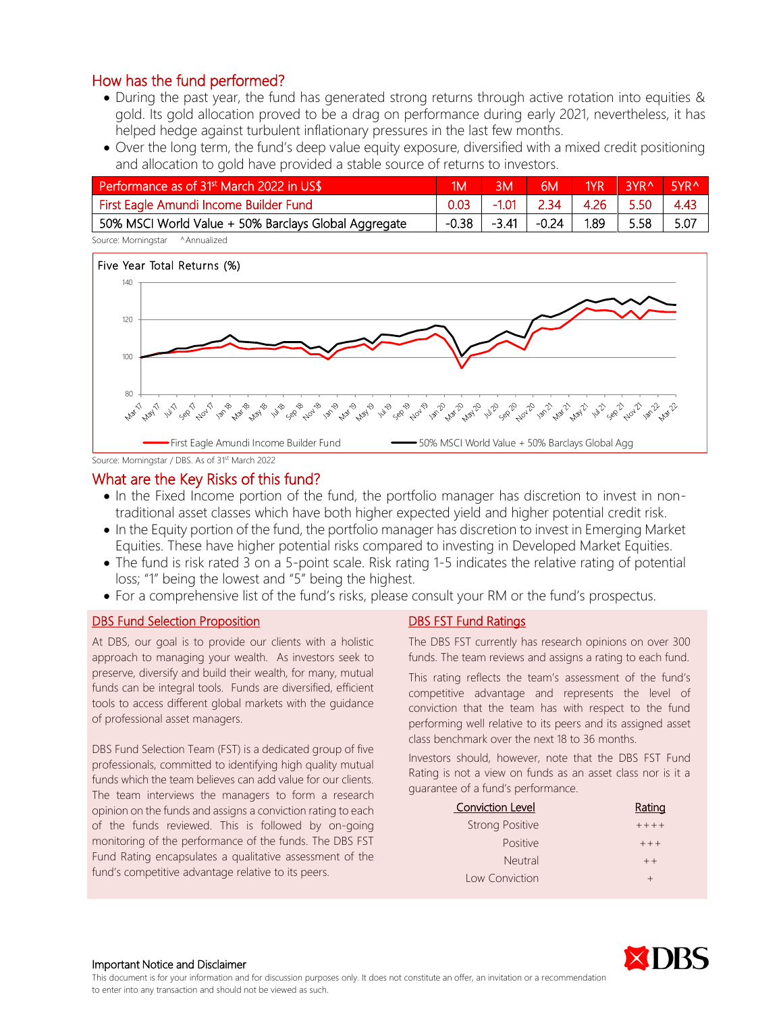- During the past year, the fund has generated strong returns through active rotation into equities & gold. Its gold allocation proved to be a drag on performance during early 2021, nevertheless, it has helped hedge against turbulent inflationary pressures in the last few months.
- Over the long term, the fund's deep value equity exposure, diversified with a mixed credit positioning and allocation to gold have provided a stable source of returns to investors.

| Performance as of 31 <sup>st</sup> March 2022 in US\$ | 1M    | 3M      | 6M      | 1YR  | <b>RYRA</b> | 5YR <sup>^</sup> |
|-------------------------------------------------------|-------|---------|---------|------|-------------|------------------|
| First Eagle Amundi Income Builder Fund                | 0.03  | $-1.01$ | 2.34    | 4.26 | 5.50        | 4.43             |
| 50% MSCI World Value + 50% Barclays Global Aggregate  | -0.38 | -3.41   | $-0.24$ | 1.89 | 5.58        | 5.07             |
| Source: Morningstar<br>^Annualized                    |       |         |         |      |             |                  |



Source: Morningstar / DBS. As of 31<sup>st</sup> March 2022

#### What are the Key Risks of this fund?

- In the Fixed Income portion of the fund, the portfolio manager has discretion to invest in nontraditional asset classes which have both higher expected yield and higher potential credit risk.
- In the Equity portion of the fund, the portfolio manager has discretion to invest in Emerging Market Equities. These have higher potential risks compared to investing in Developed Market Equities.
- The fund is risk rated 3 on a 5-point scale. Risk rating 1-5 indicates the relative rating of potential loss; "1" being the lowest and "5" being the highest.
- For a comprehensive list of the fund's risks, please consult your RM or the fund's prospectus.

#### DBS Fund Selection Proposition

At DBS, our goal is to provide our clients with a holistic approach to managing your wealth. As investors seek to preserve, diversify and build their wealth, for many, mutual funds can be integral tools. Funds are diversified, efficient tools to access different global markets with the guidance of professional asset managers.

DBS Fund Selection Team (FST) is a dedicated group of five professionals, committed to identifying high quality mutual funds which the team believes can add value for our clients. The team interviews the managers to form a research opinion on the funds and assigns a conviction rating to each of the funds reviewed. This is followed by on-going monitoring of the performance of the funds. The DBS FST Fund Rating encapsulates a qualitative assessment of the fund's competitive advantage relative to its peers.

#### DBS FST Fund Ratings

The DBS FST currently has research opinions on over 300 funds. The team reviews and assigns a rating to each fund.

This rating reflects the team's assessment of the fund's competitive advantage and represents the level of conviction that the team has with respect to the fund performing well relative to its peers and its assigned asset class benchmark over the next 18 to 36 months.

Investors should, however, note that the DBS FST Fund Rating is not a view on funds as an asset class nor is it a guarantee of a fund's performance.

| <b>Conviction Level</b> | <u>Rating</u> |
|-------------------------|---------------|
| <b>Strong Positive</b>  | $++++$        |
| <b>Positive</b>         | $+ + +$       |
| Neutral                 | $++$          |
| Low Conviction          | $\pm$         |



#### Important Notice and Disclaimer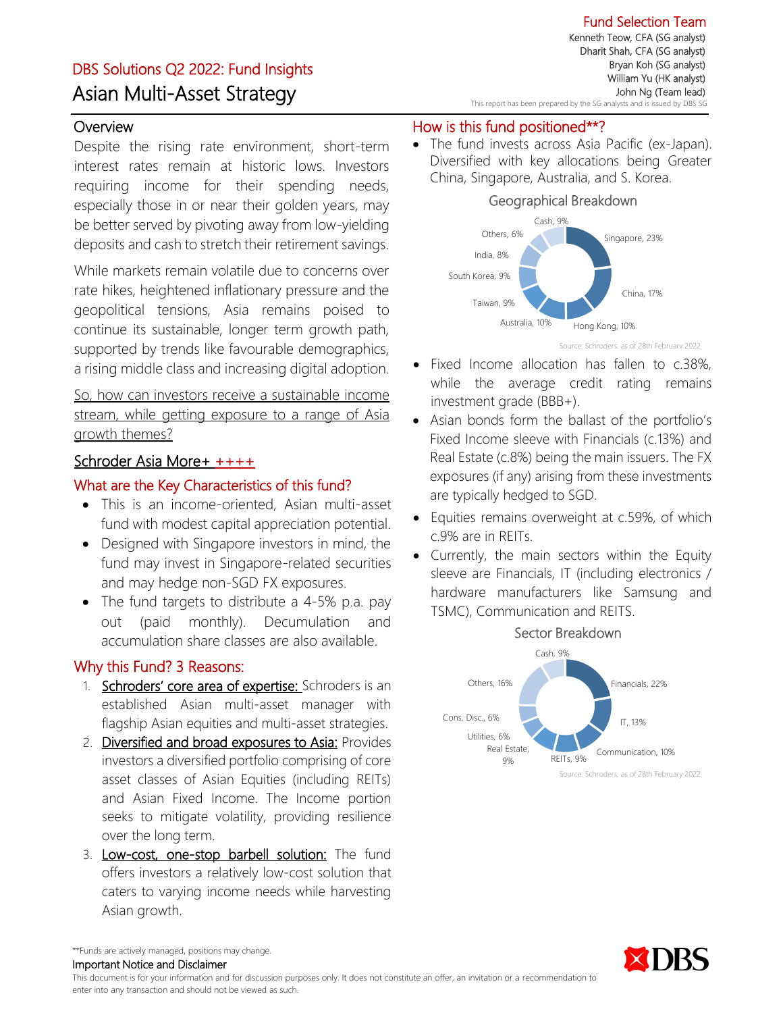# DBS Solutions Q2 2022: Fund Insights Asian Multi-Asset Strategy

Fund Selection Team Kenneth Teow, CFA (SG analyst) Dharit Shah, CFA (SG analyst) Bryan Koh (SG analyst) William Yu (HK analyst) John Ng (Team lead) This report has been prepared by the SG analysts and is issued by DBS SG

## **Overview**

Despite the rising rate environment, short-term interest rates remain at historic lows. Investors requiring income for their spending needs, especially those in or near their golden years, may be better served by pivoting away from low-yielding deposits and cash to stretch their retirement savings.

While markets remain volatile due to concerns over rate hikes, heightened inflationary pressure and the geopolitical tensions, Asia remains poised to continue its sustainable, longer term growth path, supported by trends like favourable demographics, a rising middle class and increasing digital adoption.

So, how can investors receive a sustainable income stream, while getting exposure to a range of Asia growth themes?

#### Schroder Asia More+ ++++

#### What are the Key Characteristics of this fund?

- This is an income-oriented, Asian multi-asset fund with modest capital appreciation potential.
- Designed with Singapore investors in mind, the fund may invest in Singapore-related securities and may hedge non-SGD FX exposures.
- The fund targets to distribute a 4-5% p.a. pay out (paid monthly). Decumulation and accumulation share classes are also available.

## Why this Fund? 3 Reasons:

- 1. Schroders' core area of expertise: Schroders is an established Asian multi-asset manager with flagship Asian equities and multi-asset strategies.
- 2. Diversified and broad exposures to Asia: Provides investors a diversified portfolio comprising of core asset classes of Asian Equities (including REITs) and Asian Fixed Income. The Income portion seeks to mitigate volatility, providing resilience over the long term.
- 3. Low-cost, one-stop barbell solution: The fund offers investors a relatively low-cost solution that caters to varying income needs while harvesting Asian growth.

#### How is this fund positioned\*\*?

• The fund invests across Asia Pacific (ex-Japan). Diversified with key allocations being Greater China, Singapore, Australia, and S. Korea.



Source: Schroders, as of 28th February 2022

- Fixed Income allocation has fallen to c.38%, while the average credit rating remains investment grade (BBB+).
- Asian bonds form the ballast of the portfolio's Fixed Income sleeve with Financials (c.13%) and Real Estate (c.8%) being the main issuers. The FX exposures (if any) arising from these investments are typically hedged to SGD.
- Equities remains overweight at c.59%, of which c.9% are in REITs.
- Currently, the main sectors within the Equity sleeve are Financials, IT (including electronics / hardware manufacturers like Samsung and TSMC), Communication and REITS.





\*\*Funds are actively managed, positions may change.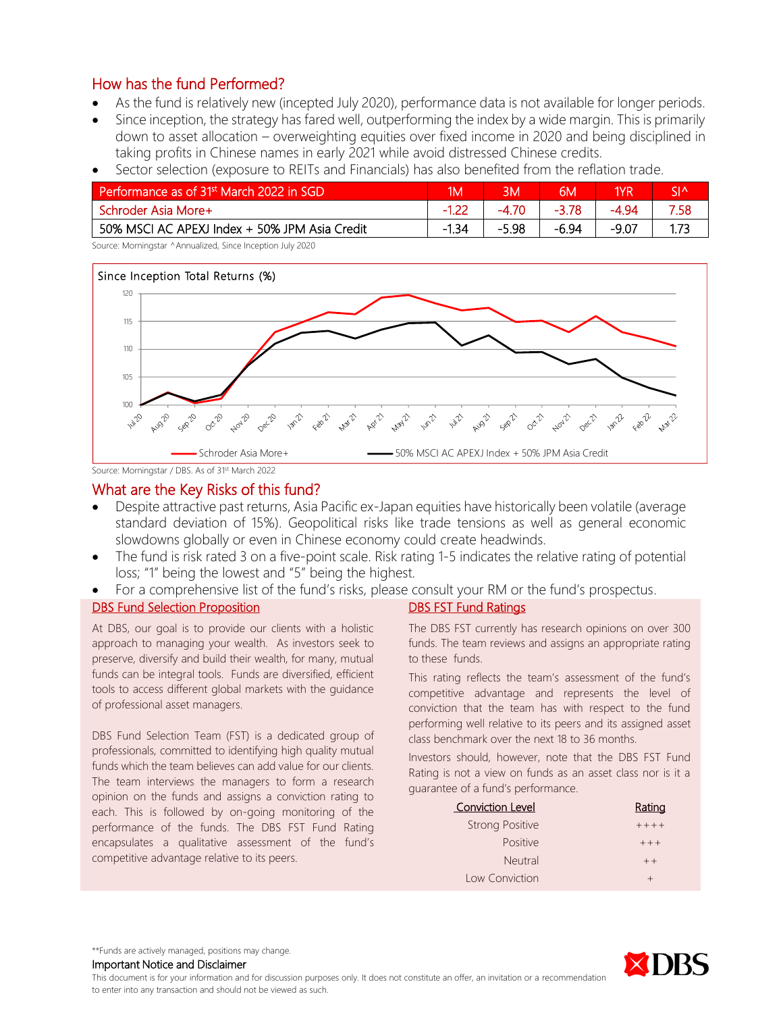- As the fund is relatively new (incepted July 2020), performance data is not available for longer periods.
- Since inception, the strategy has fared well, outperforming the index by a wide margin. This is primarily down to asset allocation – overweighting equities over fixed income in 2020 and being disciplined in taking profits in Chinese names in early 2021 while avoid distressed Chinese credits.

| Performance as of 31 <sup>st</sup> March 2022 in SGD | 1M'     |        | 6M      | 1YR     | $\mathsf{S}$ |
|------------------------------------------------------|---------|--------|---------|---------|--------------|
| Schroder Asia More+                                  |         | $-470$ | $-3.78$ | -4 94   | 7.58         |
| 50% MSCI AC APEXJ Index + 50% JPM Asia Credit        | $-1.34$ | -5.98  | -6.94   | $-9.07$ | 1 73         |

• Sector selection (exposure to REITs and Financials) has also benefited from the reflation trade.

Source: Morningstar ^Annualized, Since Inception July 2020



Source: Morningstar / DBS. As of 31st March 2022

#### What are the Key Risks of this fund?

- Despite attractive past returns, Asia Pacific ex-Japan equities have historically been volatile (average standard deviation of 15%). Geopolitical risks like trade tensions as well as general economic slowdowns globally or even in Chinese economy could create headwinds.
- The fund is risk rated 3 on a five-point scale. Risk rating 1-5 indicates the relative rating of potential loss; "1" being the lowest and "5" being the highest.
- For a comprehensive list of the fund's risks, please consult your RM or the fund's prospectus.

#### DBS Fund Selection Proposition

At DBS, our goal is to provide our clients with a holistic approach to managing your wealth. As investors seek to preserve, diversify and build their wealth, for many, mutual funds can be integral tools. Funds are diversified, efficient tools to access different global markets with the guidance of professional asset managers.

DBS Fund Selection Team (FST) is a dedicated group of professionals, committed to identifying high quality mutual funds which the team believes can add value for our clients. The team interviews the managers to form a research opinion on the funds and assigns a conviction rating to each. This is followed by on-going monitoring of the performance of the funds. The DBS FST Fund Rating encapsulates a qualitative assessment of the fund's competitive advantage relative to its peers.

# DBS FST Fund Ratings

The DBS FST currently has research opinions on over 300 funds. The team reviews and assigns an appropriate rating to these funds.

This rating reflects the team's assessment of the fund's competitive advantage and represents the level of conviction that the team has with respect to the fund performing well relative to its peers and its assigned asset class benchmark over the next 18 to 36 months.

Investors should, however, note that the DBS FST Fund Rating is not a view on funds as an asset class nor is it a guarantee of a fund's performance.

| <b>Conviction Level</b> | Rating  |
|-------------------------|---------|
| <b>Strong Positive</b>  | $+++++$ |
| <b>Positive</b>         | $+ + +$ |
| <b>Neutral</b>          | $++$    |
| Low Conviction          | $^{+}$  |



\*\*Funds are actively managed, positions may change.

Important Notice and Disclaimer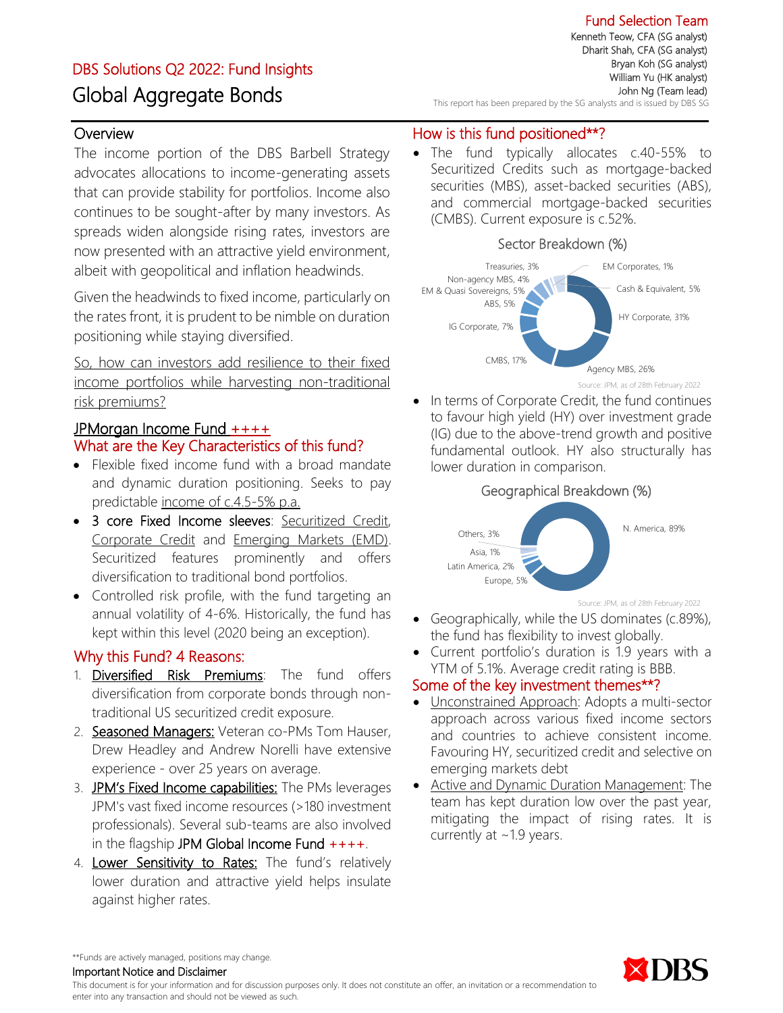# DBS Solutions Q2 2022: Fund Insights Global Aggregate Bonds

Fund Selection Team Kenneth Teow, CFA (SG analyst) Dharit Shah, CFA (SG analyst) Bryan Koh (SG analyst) William Yu (HK analyst) John Ng (Team lead) This report has been prepared by the SG analysts and is issued by DBS SG

## **Overview**

The income portion of the DBS Barbell Strategy advocates allocations to income-generating assets that can provide stability for portfolios. Income also continues to be sought-after by many investors. As spreads widen alongside rising rates, investors are now presented with an attractive yield environment, albeit with geopolitical and inflation headwinds.

Given the headwinds to fixed income, particularly on the rates front, it is prudent to be nimble on duration positioning while staying diversified.

So, how can investors add resilience to their fixed income portfolios while harvesting non-traditional risk premiums?

## JPMorgan Income Fund ++++ What are the Key Characteristics of this fund?

- Flexible fixed income fund with a broad mandate and dynamic duration positioning. Seeks to pay predictable income of c.4.5-5% p.a.
- 3 core Fixed Income sleeves: Securitized Credit, Corporate Credit and Emerging Markets (EMD). Securitized features prominently and offers diversification to traditional bond portfolios.
- Controlled risk profile, with the fund targeting an annual volatility of 4-6%. Historically, the fund has kept within this level (2020 being an exception).

## Why this Fund? 4 Reasons:

- 1. Diversified Risk Premiums: The fund offers diversification from corporate bonds through nontraditional US securitized credit exposure.
- 2. Seasoned Managers: Veteran co-PMs Tom Hauser, Drew Headley and Andrew Norelli have extensive experience - over 25 years on average.
- 3. JPM's Fixed Income capabilities: The PMs leverages JPM's vast fixed income resources (>180 investment professionals). Several sub-teams are also involved in the flagship JPM Global Income Fund  $++++$ .
- 4. Lower Sensitivity to Rates: The fund's relatively lower duration and attractive yield helps insulate against higher rates.

## How is this fund positioned\*\*?

• The fund typically allocates c.40-55% to Securitized Credits such as mortgage-backed securities (MBS), asset-backed securities (ABS), and commercial mortgage-backed securities (CMBS). Current exposure is c.52%.





In terms of Corporate Credit, the fund continues to favour high yield (HY) over investment grade (IG) due to the above-trend growth and positive fundamental outlook. HY also structurally has lower duration in comparison.



Source: JPM, as of 28th February 2022

- Geographically, while the US dominates (c.89%), the fund has flexibility to invest globally.
- Current portfolio's duration is 1.9 years with a YTM of 5.1%. Average credit rating is BBB.

## Some of the key investment themes\*\*?

- Unconstrained Approach: Adopts a multi-sector approach across various fixed income sectors and countries to achieve consistent income. Favouring HY, securitized credit and selective on emerging markets debt
- Active and Dynamic Duration Management: The team has kept duration low over the past year, mitigating the impact of rising rates. It is currently at ~1.9 years.



\*\*Funds are actively managed, positions may change.

Important Notice and Disclaimer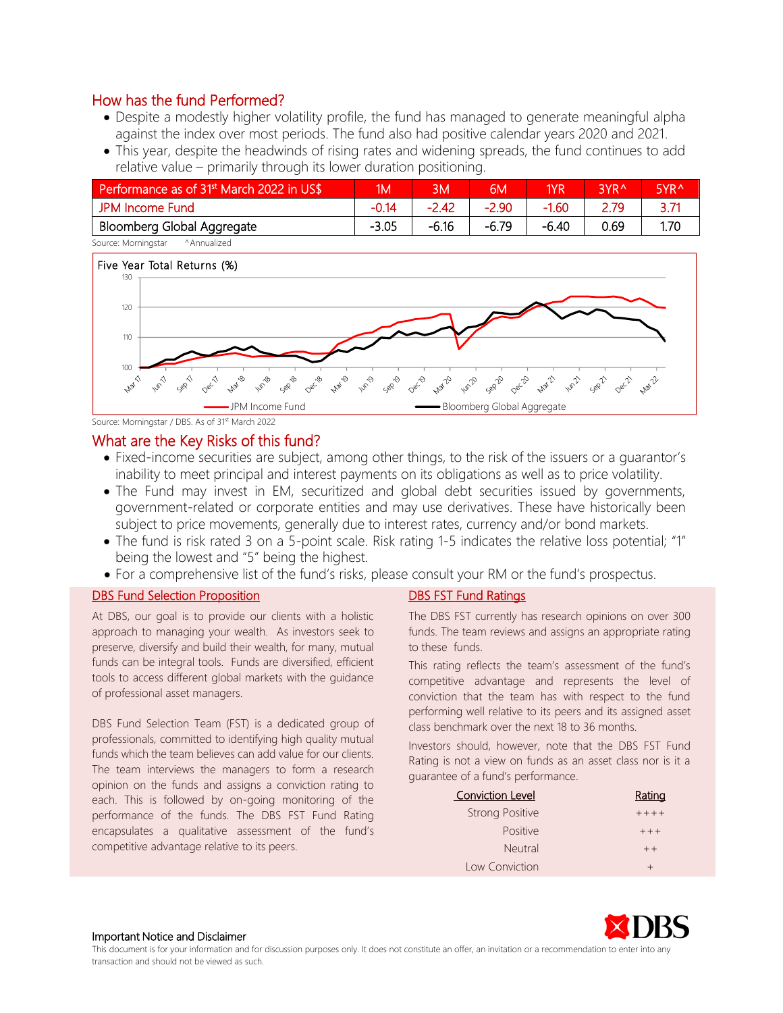- Despite a modestly higher volatility profile, the fund has managed to generate meaningful alpha against the index over most periods. The fund also had positive calendar years 2020 and 2021.
- This year, despite the headwinds of rising rates and widening spreads, the fund continues to add relative value – primarily through its lower duration positioning.

| Performance as of 31 <sup>st</sup> March 2022 in US\$ | MN)     | 3M      | 6M      | 1 <sub>VR</sub> | 3YR <sup>^</sup> | 5YR <sup>A</sup> |
|-------------------------------------------------------|---------|---------|---------|-----------------|------------------|------------------|
| JPM Income Fund                                       | $-0.14$ | $-2.42$ | $-2.90$ | $-1.60$         | 2.79             |                  |
| Bloomberg Global Aggregate                            | $-3.05$ | $-6.16$ | -6.79   | $-6.40$         | 0.69             | 1.70             |
| Source: Morningstar<br>^Annualized                    |         |         |         |                 |                  |                  |



Source: Morningstar / DBS. As of 31st March 2022

#### What are the Key Risks of this fund?

- Fixed-income securities are subject, among other things, to the risk of the issuers or a guarantor's inability to meet principal and interest payments on its obligations as well as to price volatility.
- The Fund may invest in EM, securitized and global debt securities issued by governments, government-related or corporate entities and may use derivatives. These have historically been subject to price movements, generally due to interest rates, currency and/or bond markets.
- The fund is risk rated 3 on a 5-point scale. Risk rating 1-5 indicates the relative loss potential; "1" being the lowest and "5" being the highest.
- For a comprehensive list of the fund's risks, please consult your RM or the fund's prospectus.

#### DBS Fund Selection Proposition

At DBS, our goal is to provide our clients with a holistic approach to managing your wealth. As investors seek to preserve, diversify and build their wealth, for many, mutual funds can be integral tools. Funds are diversified, efficient tools to access different global markets with the guidance of professional asset managers.

DBS Fund Selection Team (FST) is a dedicated group of professionals, committed to identifying high quality mutual funds which the team believes can add value for our clients. The team interviews the managers to form a research opinion on the funds and assigns a conviction rating to each. This is followed by on-going monitoring of the performance of the funds. The DBS FST Fund Rating encapsulates a qualitative assessment of the fund's competitive advantage relative to its peers.

#### DBS FST Fund Ratings

The DBS FST currently has research opinions on over 300 funds. The team reviews and assigns an appropriate rating to these funds.

This rating reflects the team's assessment of the fund's competitive advantage and represents the level of conviction that the team has with respect to the fund performing well relative to its peers and its assigned asset class benchmark over the next 18 to 36 months.

Investors should, however, note that the DBS FST Fund Rating is not a view on funds as an asset class nor is it a guarantee of a fund's performance.

| <b>Conviction Level</b> | <u>Rating</u> |
|-------------------------|---------------|
| <b>Strong Positive</b>  | $+++++$       |
| <b>Positive</b>         | $++ +$        |
| <b>Neutral</b>          | $++$          |
| Low Conviction          |               |



#### Important Notice and Disclaimer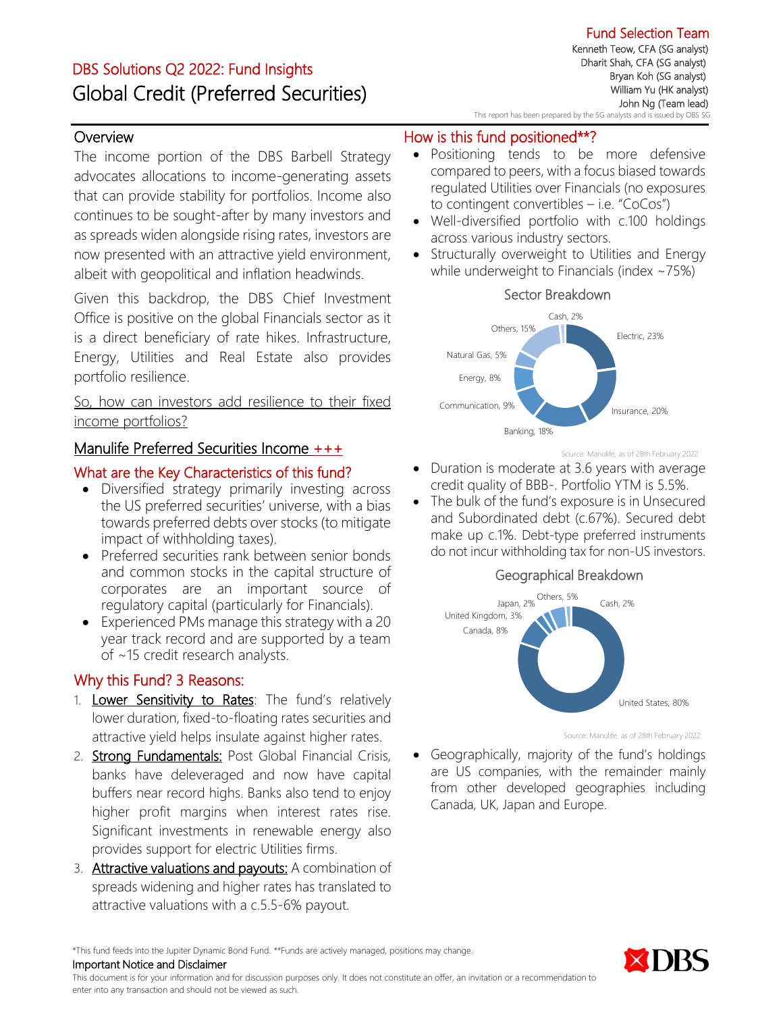# DBS Solutions Q2 2022: Fund Insights Global Credit (Preferred Securities)

## **Overview**

The income portion of the DBS Barbell Strategy advocates allocations to income-generating assets that can provide stability for portfolios. Income also continues to be sought-after by many investors and as spreads widen alongside rising rates, investors are now presented with an attractive yield environment, albeit with geopolitical and inflation headwinds.

Given this backdrop, the DBS Chief Investment Office is positive on the global Financials sector as it is a direct beneficiary of rate hikes. Infrastructure, Energy, Utilities and Real Estate also provides portfolio resilience.

So, how can investors add resilience to their fixed income portfolios?

## Manulife Preferred Securities Income +++

#### What are the Key Characteristics of this fund?

- Diversified strategy primarily investing across the US preferred securities' universe, with a bias towards preferred debts over stocks (to mitigate impact of withholding taxes).
- Preferred securities rank between senior bonds and common stocks in the capital structure of corporates are an important source of regulatory capital (particularly for Financials).
- Experienced PMs manage this strategy with a 20 year track record and are supported by a team of ~15 credit research analysts.

## Why this Fund? 3 Reasons:

- 1. Lower Sensitivity to Rates: The fund's relatively lower duration, fixed-to-floating rates securities and attractive yield helps insulate against higher rates.
- 2. Strong Fundamentals: Post Global Financial Crisis, banks have deleveraged and now have capital buffers near record highs. Banks also tend to enjoy higher profit margins when interest rates rise. Significant investments in renewable energy also provides support for electric Utilities firms.
- 3. Attractive valuations and payouts: A combination of spreads widening and higher rates has translated to attractive valuations with a c.5.5-6% payout.

Fund Selection Team Kenneth Teow, CFA (SG analyst) Dharit Shah, CFA (SG analyst) Bryan Koh (SG analyst) William Yu (HK analyst) John Ng (Team lead) This report has been prepared by the SG analysts and is issued by DBS SG

## How is this fund positioned\*\*?

- Positioning tends to be more defensive compared to peers, with a focus biased towards regulated Utilities over Financials (no exposures to contingent convertibles  $-$  i.e. "CoCos")
- Well-diversified portfolio with c.100 holdings across various industry sectors.
- Structurally overweight to Utilities and Energy while underweight to Financials (index ~75%)



Source: Manulife, as of 28th February 2022

- Duration is moderate at 3.6 years with average credit quality of BBB-. Portfolio YTM is 5.5%.
- The bulk of the fund's exposure is in Unsecured and Subordinated debt (c.67%). Secured debt make up c.1%. Debt-type preferred instruments do not incur withholding tax for non-US investors.

#### Geographical Breakdown



Source: Manulife, as of 28th February 2022

• Geographically, majority of the fund's holdings are US companies, with the remainder mainly from other developed geographies including Canada, UK, Japan and Europe.

\*This fund feeds into the Jupiter Dynamic Bond Fund. \*\*Funds are actively managed, positions may change.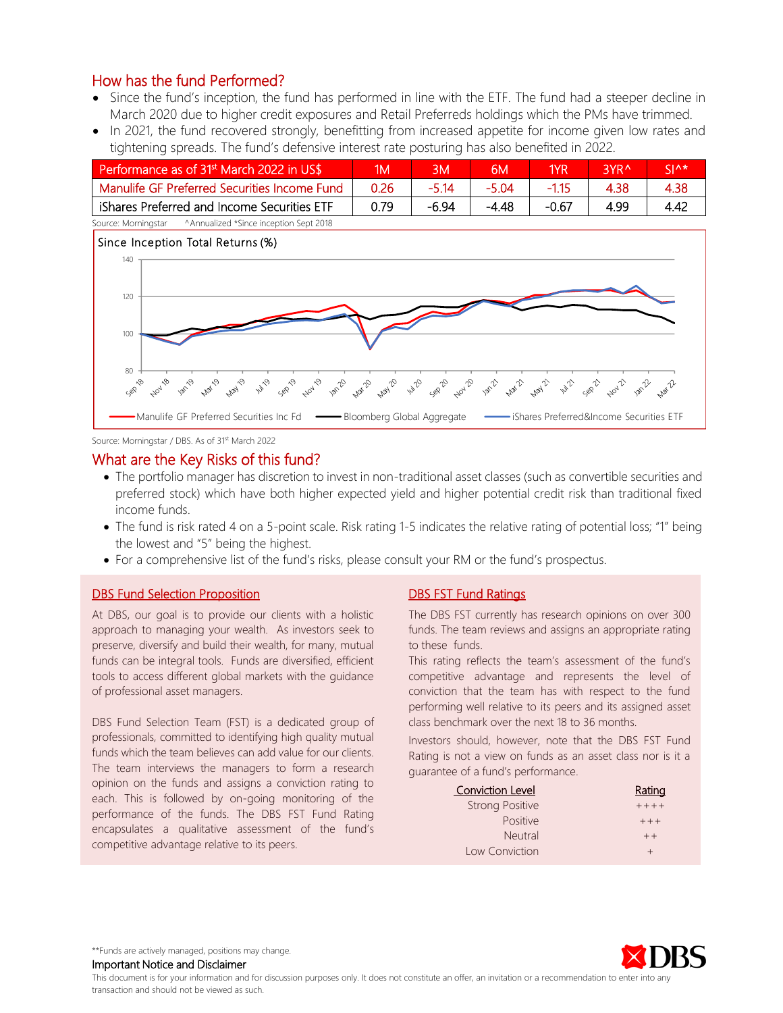- Since the fund's inception, the fund has performed in line with the ETF. The fund had a steeper decline in March 2020 due to higher credit exposures and Retail Preferreds holdings which the PMs have trimmed.
- In 2021, the fund recovered strongly, benefitting from increased appetite for income given low rates and tightening spreads. The fund's defensive interest rate posturing has also benefited in 2022.

| Performance as of 31 <sup>st</sup> March 2022 in US\$ | 1M   |       | 6M    | 1YR     | RYR ^ | <b>CIA*</b> |
|-------------------------------------------------------|------|-------|-------|---------|-------|-------------|
| Manulife GF Preferred Securities Income Fund          | 0.26 | -5 14 | -5 04 |         | 4.38  | 4.38        |
| iShares Preferred and Income Securities ETF           | በ 79 | -6.94 | -4.48 | $-0.67$ | 4.99  | 4.42        |



Source: Morningstar / DBS. As of 31<sup>st</sup> March 2022

#### What are the Key Risks of this fund?

- The portfolio manager has discretion to invest in non-traditional asset classes (such as convertible securities and preferred stock) which have both higher expected yield and higher potential credit risk than traditional fixed income funds.
- The fund is risk rated 4 on a 5-point scale. Risk rating 1-5 indicates the relative rating of potential loss; "1" being the lowest and "5" being the highest.
- For a comprehensive list of the fund's risks, please consult your RM or the fund's prospectus.

#### **DBS Fund Selection Proposition**

At DBS, our goal is to provide our clients with a holistic approach to managing your wealth. As investors seek to preserve, diversify and build their wealth, for many, mutual funds can be integral tools. Funds are diversified, efficient tools to access different global markets with the guidance of professional asset managers.

DBS Fund Selection Team (FST) is a dedicated group of professionals, committed to identifying high quality mutual funds which the team believes can add value for our clients. The team interviews the managers to form a research opinion on the funds and assigns a conviction rating to each. This is followed by on-going monitoring of the performance of the funds. The DBS FST Fund Rating encapsulates a qualitative assessment of the fund's competitive advantage relative to its peers.

#### DBS FST Fund Ratings

The DBS FST currently has research opinions on over 300 funds. The team reviews and assigns an appropriate rating to these funds.

This rating reflects the team's assessment of the fund's competitive advantage and represents the level of conviction that the team has with respect to the fund performing well relative to its peers and its assigned asset class benchmark over the next 18 to 36 months.

Investors should, however, note that the DBS FST Fund Rating is not a view on funds as an asset class nor is it a guarantee of a fund's performance.

| <b>Conviction Level</b> | Rating    |
|-------------------------|-----------|
| <b>Strong Positive</b>  | $+ + + +$ |
| <b>Positive</b>         | $+ + +$   |
| Neutral                 | $++$      |
| Low Conviction          |           |



\*\*Funds are actively managed, positions may change.

Important Notice and Disclaimer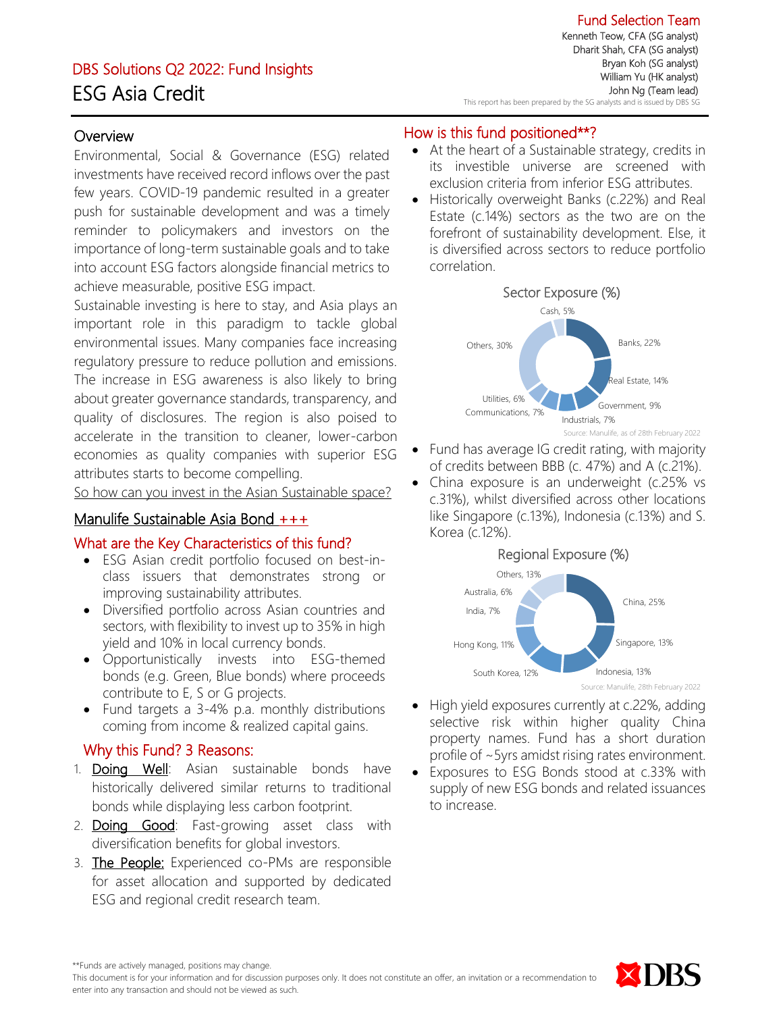# DBS Solutions Q2 2022: Fund Insights ESG Asia Credit

Fund Selection Team Kenneth Teow, CFA (SG analyst) Dharit Shah, CFA (SG analyst) Bryan Koh (SG analyst) William Yu (HK analyst) John Ng (Team lead) This report has been prepared by the SG analysts and is issued by DBS SG

j

## **Overview**

Environmental, Social & Governance (ESG) related investments have received record inflows over the past few years. COVID-19 pandemic resulted in a greater push for sustainable development and was a timely reminder to policymakers and investors on the importance of long-term sustainable goals and to take into account ESG factors alongside financial metrics to achieve measurable, positive ESG impact.

Sustainable investing is here to stay, and Asia plays an important role in this paradigm to tackle global environmental issues. Many companies face increasing regulatory pressure to reduce pollution and emissions. The increase in ESG awareness is also likely to bring about greater governance standards, transparency, and quality of disclosures. The region is also poised to accelerate in the transition to cleaner, lower-carbon economies as quality companies with superior ESG attributes starts to become compelling.

So how can you invest in the Asian Sustainable space?

## Manulife Sustainable Asia Bond +++

#### What are the Key Characteristics of this fund?

- ESG Asian credit portfolio focused on best-inclass issuers that demonstrates strong or improving sustainability attributes.
- Diversified portfolio across Asian countries and sectors, with flexibility to invest up to 35% in high yield and 10% in local currency bonds.
- Opportunistically invests into ESG-themed bonds (e.g. Green, Blue bonds) where proceeds contribute to E, S or G projects.
- Fund targets a 3-4% p.a. monthly distributions coming from income & realized capital gains.

## Why this Fund? 3 Reasons:

- 1. **Doing Well**: Asian sustainable bonds have historically delivered similar returns to traditional bonds while displaying less carbon footprint.
- 2. **Doing Good**: Fast-growing asset class with diversification benefits for global investors.
- 3. The People: Experienced co-PMs are responsible for asset allocation and supported by dedicated ESG and regional credit research team.

## How is this fund positioned\*\*?

- At the heart of a Sustainable strategy, credits in its investible universe are screened with exclusion criteria from inferior ESG attributes.
- Historically overweight Banks (c.22%) and Real Estate (c.14%) sectors as the two are on the forefront of sustainability development. Else, it is diversified across sectors to reduce portfolio correlation.



- Fund has average IG credit rating, with majority of credits between BBB (c. 47%) and A (c.21%).
- China exposure is an underweight (c.25% vs c.31%), whilst diversified across other locations like Singapore (c.13%), Indonesia (c.13%) and S. Korea (c.12%).

#### Regional Exposure (%)



Source: Manulife, 28th February 2022

- High yield exposures currently at c.22%, adding selective risk within higher quality China property names. Fund has a short duration profile of ~5yrs amidst rising rates environment.
- Exposures to ESG Bonds stood at c.33% with supply of new ESG bonds and related issuances to increase.



<sup>\*\*</sup>Funds are actively managed, positions may change.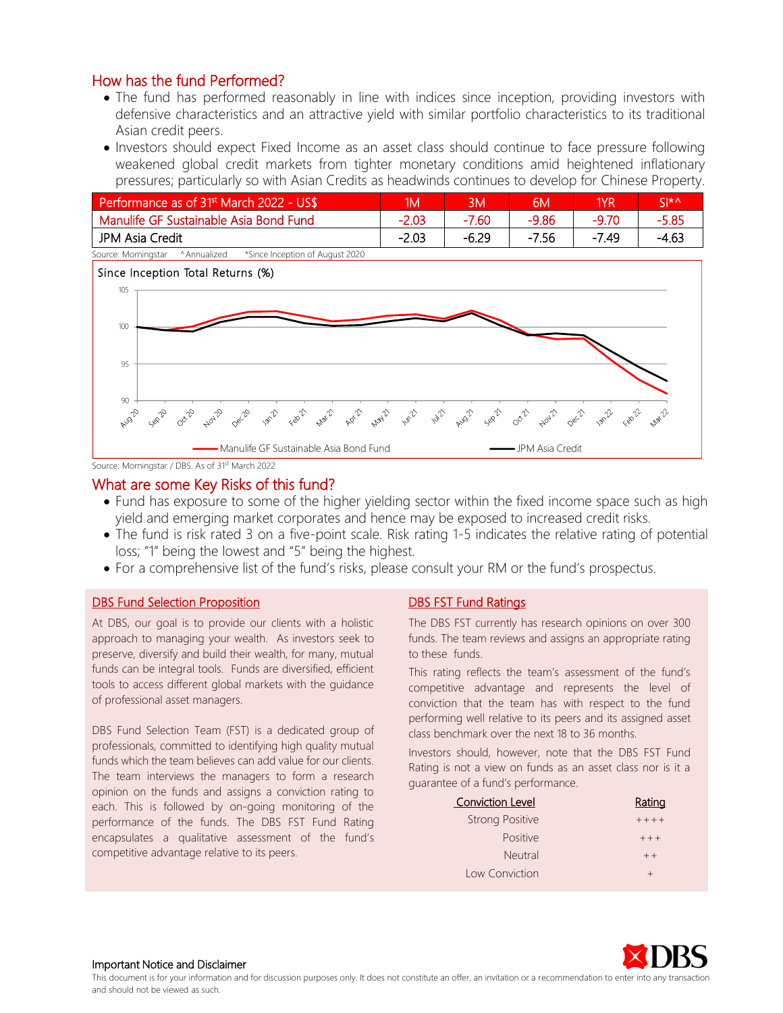- The fund has performed reasonably in line with indices since inception, providing investors with defensive characteristics and an attractive yield with similar portfolio characteristics to its traditional Asian credit peers.
- Investors should expect Fixed Income as an asset class should continue to face pressure following weakened global credit markets from tighter monetary conditions amid heightened inflationary pressures; particularly so with Asian Credits as headwinds continues to develop for Chinese Property.

| Performance as of 31 <sup>st</sup> March 2022 - US\$                 | 1M      | <b>BM</b> | 6M      | 1YR     | $\zeta$ $\star$ $\wedge$ |
|----------------------------------------------------------------------|---------|-----------|---------|---------|--------------------------|
| Manulife GF Sustainable Asia Bond Fund                               | $-2.03$ | $-7.60$   | $-9.86$ | -9.70   | -5.85                    |
| JPM Asia Credit                                                      | $-2.03$ | -6.29     | $-7.56$ | $-7.49$ | -4.63                    |
| *Since Incention of August 2020<br>Source: Morninastar<br>Annualized |         |           |         |         |                          |



Source: Morningstar / DBS. As of 31<sup>st</sup> March 2022

#### What are some Key Risks of this fund?

- Fund has exposure to some of the higher yielding sector within the fixed income space such as high yield and emerging market corporates and hence may be exposed to increased credit risks.
- The fund is risk rated 3 on a five-point scale. Risk rating 1-5 indicates the relative rating of potential loss; "1" being the lowest and "5" being the highest.
- For a comprehensive list of the fund's risks, please consult your RM or the fund's prospectus.

#### **DBS Fund Selection Proposition**

At DBS, our goal is to provide our clients with a holistic approach to managing your wealth. As investors seek to preserve, diversify and build their wealth, for many, mutual funds can be integral tools. Funds are diversified, efficient tools to access different global markets with the guidance of professional asset managers.

DBS Fund Selection Team (FST) is a dedicated group of professionals, committed to identifying high quality mutual funds which the team believes can add value for our clients. The team interviews the managers to form a research opinion on the funds and assigns a conviction rating to each. This is followed by on-going monitoring of the performance of the funds. The DBS FST Fund Rating encapsulates a qualitative assessment of the fund's competitive advantage relative to its peers.

#### DBS FST Fund Ratings

The DBS FST currently has research opinions on over 300 funds. The team reviews and assigns an appropriate rating to these funds.

This rating reflects the team's assessment of the fund's competitive advantage and represents the level of conviction that the team has with respect to the fund performing well relative to its peers and its assigned asset class benchmark over the next 18 to 36 months.

Investors should, however, note that the DBS FST Fund Rating is not a view on funds as an asset class nor is it a guarantee of a fund's performance.

| <b>Conviction Level</b> | Rating  |
|-------------------------|---------|
| <b>Strong Positive</b>  | $+++++$ |
| <b>Positive</b>         | $+ + +$ |
| <b>Neutral</b>          | $++$    |
| Low Conviction          | $\div$  |



#### Important Notice and Disclaimer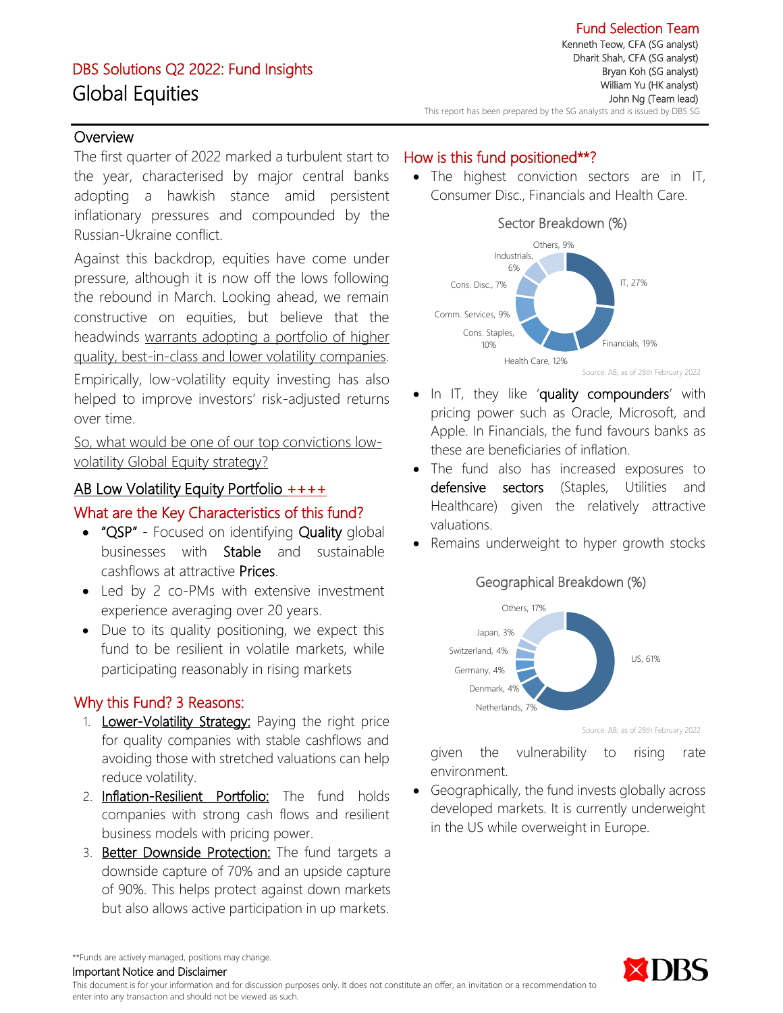# DBS Solutions Q2 2022: Fund Insights Global Equities

Fund Selection Team Kenneth Teow, CFA (SG analyst) Dharit Shah, CFA (SG analyst) Bryan Koh (SG analyst) William Yu (HK analyst) John Ng (Team lead) This report has been prepared by the SG analysts and is issued by DBS SG

## **Overview**

The first quarter of 2022 marked a turbulent start to the year, characterised by major central banks adopting a hawkish stance amid persistent inflationary pressures and compounded by the Russian-Ukraine conflict.

Against this backdrop, equities have come under pressure, although it is now off the lows following the rebound in March. Looking ahead, we remain constructive on equities, but believe that the headwinds warrants adopting a portfolio of higher quality, best-in-class and lower volatility companies. Empirically, low-volatility equity investing has also

helped to improve investors' risk-adjusted returns over time.

So, what would be one of our top convictions lowvolatility Global Equity strategy?

## AB Low Volatility Equity Portfolio ++++

## What are the Key Characteristics of this fund?

- "QSP" Focused on identifying Quality global businesses with Stable and sustainable cashflows at attractive Prices.
- Led by 2 co-PMs with extensive investment experience averaging over 20 years.
- Due to its quality positioning, we expect this fund to be resilient in volatile markets, while participating reasonably in rising markets

## Why this Fund? 3 Reasons:

- 1. Lower-Volatility Strategy: Paying the right price for quality companies with stable cashflows and avoiding those with stretched valuations can help reduce volatility.
- 2. Inflation-Resilient Portfolio: The fund holds companies with strong cash flows and resilient business models with pricing power.
- 3. Better Downside Protection: The fund targets a downside capture of 70% and an upside capture of 90%. This helps protect against down markets but also allows active participation in up markets.

## How is this fund positioned\*\*?

• The highest conviction sectors are in IT, Consumer Disc., Financials and Health Care.



- In IT, they like 'quality compounders' with pricing power such as Oracle, Microsoft, and Apple. In Financials, the fund favours banks as these are beneficiaries of inflation.
- The fund also has increased exposures to defensive sectors (Staples, Utilities and Healthcare) given the relatively attractive valuations.
- Remains underweight to hyper growth stocks



Source: AB; as of 28th February 2022

given the vulnerability to rising rate environment.

• Geographically, the fund invests globally across developed markets. It is currently underweight in the US while overweight in Europe.



\*\*Funds are actively managed, positions may change.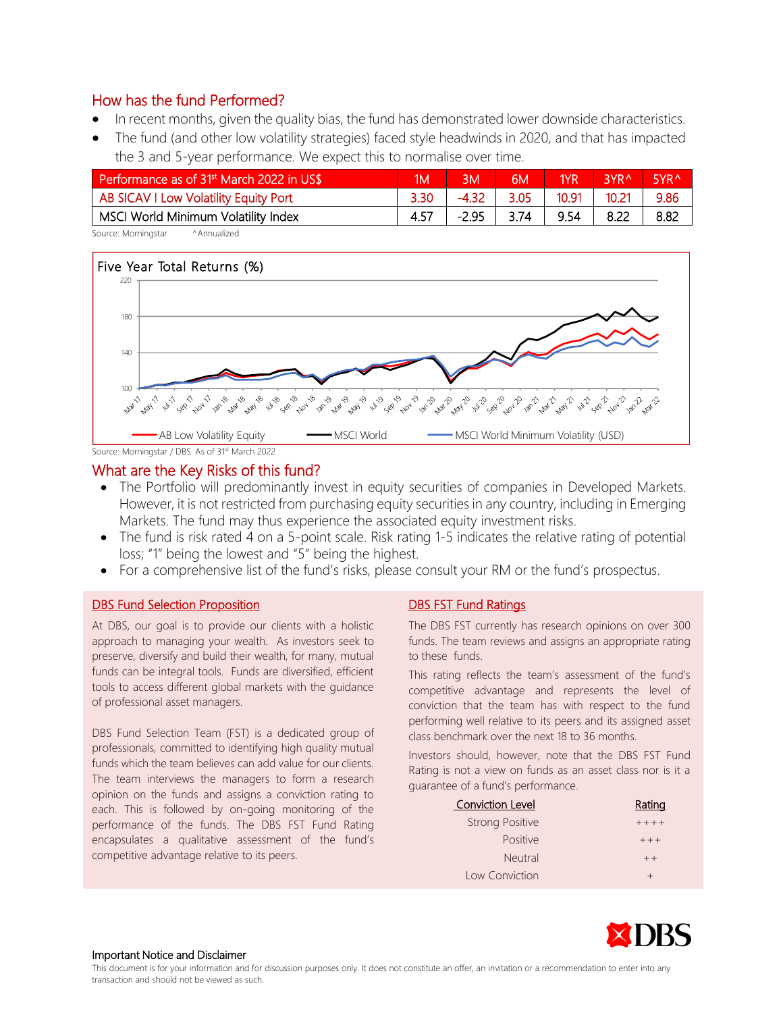- In recent months, given the quality bias, the fund has demonstrated lower downside characteristics.
- The fund (and other low volatility strategies) faced style headwinds in 2020, and that has impacted the 3 and 5-year performance. We expect this to normalise over time.

| Performance as of 31 <sup>st</sup> March 2022 in US\$ | ١M | <b>BM</b> | 6M   | 1YR   | <b>RYRA</b> | 5VR ^ |
|-------------------------------------------------------|----|-----------|------|-------|-------------|-------|
| AB SICAV I Low Volatility Equity Port                 |    | $-4.32$   | 3.05 | 10.91 | 10.21       | 9.86  |
| MSCI World Minimum Volatility Index                   |    | $-2.95$   | 3.74 | 9.54  |             | 8.82  |

Source: Morningstar ^Annualized



#### What are the Key Risks of this fund?

- The Portfolio will predominantly invest in equity securities of companies in Developed Markets. However, it is not restricted from purchasing equity securities in any country, including in Emerging Markets. The fund may thus experience the associated equity investment risks.
- The fund is risk rated 4 on a 5-point scale. Risk rating 1-5 indicates the relative rating of potential loss; "1" being the lowest and "5" being the highest.
- For a comprehensive list of the fund's risks, please consult your RM or the fund's prospectus.

#### **DBS Fund Selection Proposition**

At DBS, our goal is to provide our clients with a holistic approach to managing your wealth. As investors seek to preserve, diversify and build their wealth, for many, mutual funds can be integral tools. Funds are diversified, efficient tools to access different global markets with the guidance of professional asset managers.

DBS Fund Selection Team (FST) is a dedicated group of professionals, committed to identifying high quality mutual funds which the team believes can add value for our clients. The team interviews the managers to form a research opinion on the funds and assigns a conviction rating to each. This is followed by on-going monitoring of the performance of the funds. The DBS FST Fund Rating encapsulates a qualitative assessment of the fund's competitive advantage relative to its peers.

#### DBS FST Fund Ratings

The DBS FST currently has research opinions on over 300 funds. The team reviews and assigns an appropriate rating to these funds.

This rating reflects the team's assessment of the fund's competitive advantage and represents the level of conviction that the team has with respect to the fund performing well relative to its peers and its assigned asset class benchmark over the next 18 to 36 months.

Investors should, however, note that the DBS FST Fund Rating is not a view on funds as an asset class nor is it a guarantee of a fund's performance.

| <b>Conviction Level</b> | Rating  |
|-------------------------|---------|
| <b>Strong Positive</b>  | $+++++$ |
| <b>Positive</b>         | $+ + +$ |
| Neutral                 | $++$    |
| Low Conviction          | $^{+}$  |

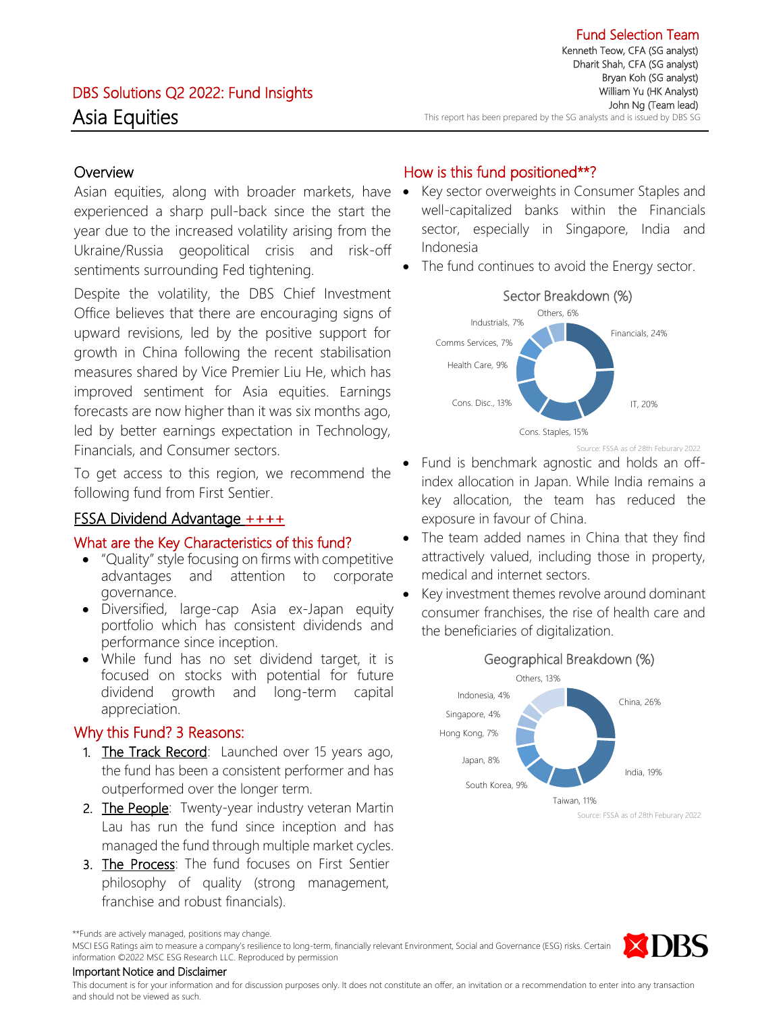## **Overview**

Asian equities, along with broader markets, have • experienced a sharp pull-back since the start the year due to the increased volatility arising from the Ukraine/Russia geopolitical crisis and risk-off sentiments surrounding Fed tightening.

Despite the volatility, the DBS Chief Investment Office believes that there are encouraging signs of upward revisions, led by the positive support for growth in China following the recent stabilisation measures shared by Vice Premier Liu He, which has improved sentiment for Asia equities. Earnings forecasts are now higher than it was six months ago, led by better earnings expectation in Technology, Financials, and Consumer sectors.

To get access to this region, we recommend the following fund from First Sentier.

## FSSA Dividend Advantage ++++

## What are the Key Characteristics of this fund?

- "Quality" style focusing on firms with competitive advantages and attention to corporate governance.
- Diversified, large-cap Asia ex-Japan equity portfolio which has consistent dividends and performance since inception.
- While fund has no set dividend target, it is focused on stocks with potential for future dividend growth and long-term capital appreciation.

## Why this Fund? 3 Reasons:

- 1. The Track Record: Launched over 15 years ago, the fund has been a consistent performer and has outperformed over the longer term.
- 2. The People: Twenty-year industry veteran Martin Lau has run the fund since inception and has managed the fund through multiple market cycles.
- 3. The Process: The fund focuses on First Sentier philosophy of quality (strong management, franchise and robust financials).

## How is this fund positioned\*\*?

- Key sector overweights in Consumer Staples and well-capitalized banks within the Financials sector, especially in Singapore, India and Indonesia
- The fund continues to avoid the Energy sector.



Source: FSSA as of 28th Feburary 2022

- Fund is benchmark agnostic and holds an offindex allocation in Japan. While India remains a key allocation, the team has reduced the exposure in favour of China.
- The team added names in China that they find attractively valued, including those in property, medical and internet sectors.
- Key investment themes revolve around dominant consumer franchises, the rise of health care and the beneficiaries of digitalization.



Source: FSSA as of 28th Feburary 2022

MSCI ESG Ratings aim to measure a company's resilience to long-term, financially relevant Environment, Social and Governance (ESG) risks. Certain information ©2022 MSC ESG Research LLC. Reproduced by permission



#### Important Notice and Disclaimer

<sup>\*\*</sup>Funds are actively managed, positions may change.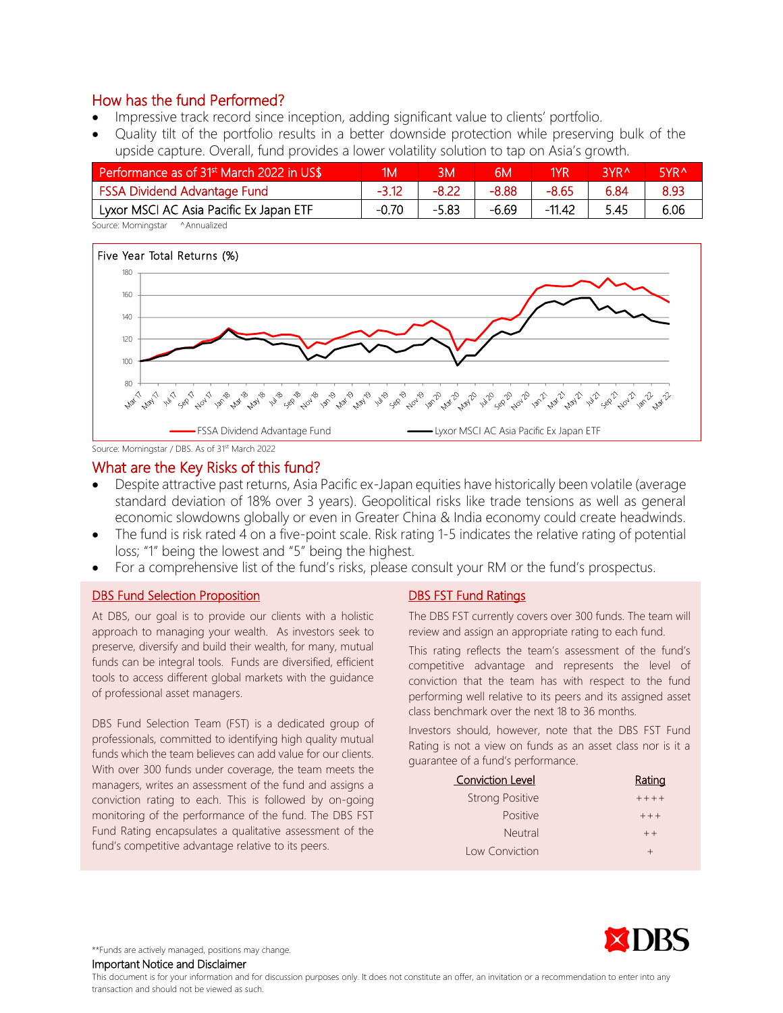- Impressive track record since inception, adding significant value to clients' portfolio.
- Quality tilt of the portfolio results in a better downside protection while preserving bulk of the upside capture. Overall, fund provides a lower volatility solution to tap on Asia's growth.

| Performance as of 31 <sup>st</sup> March 2022 in US\$ | ١M      | ЗM      | 6М      | 1YR      | RVR^ | 5YR <sup>^</sup> |
|-------------------------------------------------------|---------|---------|---------|----------|------|------------------|
| <b>FSSA Dividend Advantage Fund</b>                   |         | -8.22   | -8.88   | $-8.65$  | 6.84 | 8.93             |
| Lyxor MSCI AC Asia Pacific Ex Japan ETF               | $-0.70$ | $-5.83$ | $-6.69$ | $-11.42$ | 5.45 | 6.06             |

Source: Morningstar ^Annualized



Source: Morningstar / DBS. As of 31<sup>st</sup> March 2022

## What are the Key Risks of this fund?

- Despite attractive past returns, Asia Pacific ex-Japan equities have historically been volatile (average standard deviation of 18% over 3 years). Geopolitical risks like trade tensions as well as general economic slowdowns globally or even in Greater China & India economy could create headwinds.
- The fund is risk rated 4 on a five-point scale. Risk rating 1-5 indicates the relative rating of potential loss; "1" being the lowest and "5" being the highest.
- For a comprehensive list of the fund's risks, please consult your RM or the fund's prospectus.

#### DBS Fund Selection Proposition

At DBS, our goal is to provide our clients with a holistic approach to managing your wealth. As investors seek to preserve, diversify and build their wealth, for many, mutual funds can be integral tools. Funds are diversified, efficient tools to access different global markets with the guidance of professional asset managers.

DBS Fund Selection Team (FST) is a dedicated group of professionals, committed to identifying high quality mutual funds which the team believes can add value for our clients. With over 300 funds under coverage, the team meets the managers, writes an assessment of the fund and assigns a conviction rating to each. This is followed by on-going monitoring of the performance of the fund. The DBS FST Fund Rating encapsulates a qualitative assessment of the fund's competitive advantage relative to its peers.

#### DBS FST Fund Ratings

The DBS FST currently covers over 300 funds. The team will review and assign an appropriate rating to each fund.

This rating reflects the team's assessment of the fund's competitive advantage and represents the level of conviction that the team has with respect to the fund performing well relative to its peers and its assigned asset class benchmark over the next 18 to 36 months.

Investors should, however, note that the DBS FST Fund Rating is not a view on funds as an asset class nor is it a guarantee of a fund's performance.

| <b>Conviction Level</b> | Rating  |
|-------------------------|---------|
| <b>Strong Positive</b>  | $+++++$ |
| <b>Positive</b>         | $+ + +$ |
| Neutral                 | $++$    |
| Low Conviction          | $\div$  |



\*\*Funds are actively managed, positions may change.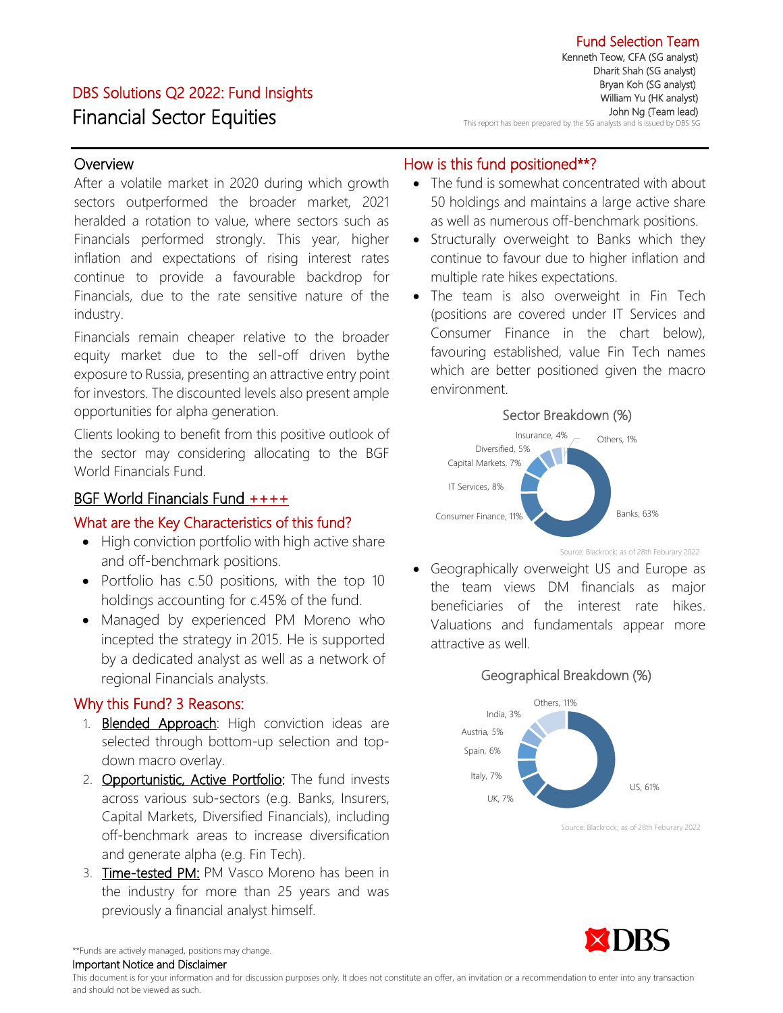# DBS Solutions Q2 2022: Fund Insights Financial Sector Equities

### **Overview**

After a volatile market in 2020 during which growth sectors outperformed the broader market, 2021 heralded a rotation to value, where sectors such as Financials performed strongly. This year, higher inflation and expectations of rising interest rates continue to provide a favourable backdrop for Financials, due to the rate sensitive nature of the industry.

Financials remain cheaper relative to the broader equity market due to the sell-off driven bythe exposure to Russia, presenting an attractive entry point for investors. The discounted levels also present ample opportunities for alpha generation.

Clients looking to benefit from this positive outlook of the sector may considering allocating to the BGF World Financials Fund.

## BGF World Financials Fund ++++

## What are the Key Characteristics of this fund?

- High conviction portfolio with high active share and off-benchmark positions.
- Portfolio has c.50 positions, with the top 10 holdings accounting for c.45% of the fund.
- Managed by experienced PM Moreno who incepted the strategy in 2015. He is supported by a dedicated analyst as well as a network of regional Financials analysts.

## Why this Fund? 3 Reasons:

- 1. **Blended Approach**: High conviction ideas are selected through bottom-up selection and topdown macro overlay.
- 2. Opportunistic, Active Portfolio: The fund invests across various sub-sectors (e.g. Banks, Insurers, Capital Markets, Diversified Financials), including off-benchmark areas to increase diversification and generate alpha (e.g. Fin Tech).
- 3. Time-tested PM: PM Vasco Moreno has been in the industry for more than 25 years and was previously a financial analyst himself.

## How is this fund positioned\*\*?

- The fund is somewhat concentrated with about 50 holdings and maintains a large active share as well as numerous off-benchmark positions.
- Structurally overweight to Banks which they continue to favour due to higher inflation and multiple rate hikes expectations.
- The team is also overweight in Fin Tech (positions are covered under IT Services and Consumer Finance in the chart below), favouring established, value Fin Tech names which are better positioned given the macro environment.



Source: Blackrock; as of 28th Feburary 2022

• Geographically overweight US and Europe as the team views DM financials as major beneficiaries of the interest rate hikes. Valuations and fundamentals appear more attractive as well.

#### Geographical Breakdown (%)



Source: Blackrock; as of 28th Feburary 2022



\*\*Funds are actively managed, positions may change. Important Notice and Disclaimer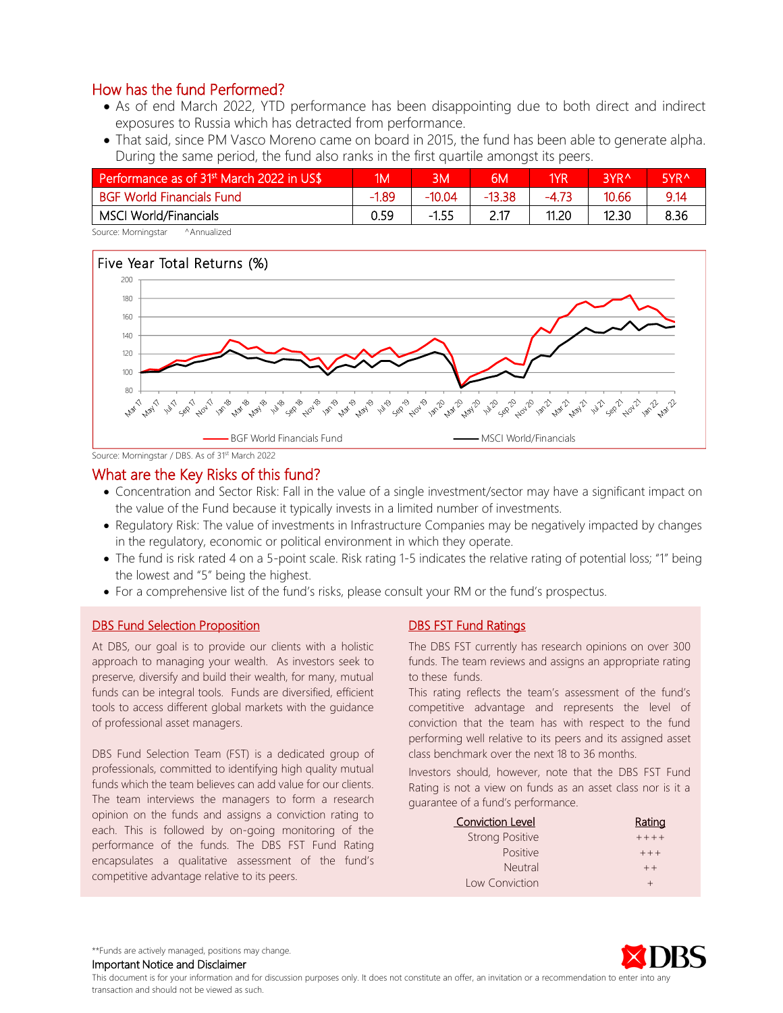- As of end March 2022, YTD performance has been disappointing due to both direct and indirect exposures to Russia which has detracted from performance.
- That said, since PM Vasco Moreno came on board in 2015, the fund has been able to generate alpha. During the same period, the fund also ranks in the first quartile amongst its peers.

| Performance as of 31 <sup>st</sup> March 2022 in US\$ | 1M      | BМ       | 6M     | 1YR     | I3VR ∿ | 5YR <sup>^</sup> |
|-------------------------------------------------------|---------|----------|--------|---------|--------|------------------|
| <b>BGF World Financials Fund</b>                      | $-1.89$ | $-10.04$ | -13.38 | $-4.73$ | 10.66  | 9.14             |
| MSCI World/Financials                                 | 0.59    | $-1.55$  |        | 11.20   | 12.30  | 8.36             |

Source: Morningstar ^Annualized



Source: Morningstar / DBS. As of 31<sup>st</sup> March 2022

### What are the Key Risks of this fund?

- Concentration and Sector Risk: Fall in the value of a single investment/sector may have a significant impact on the value of the Fund because it typically invests in a limited number of investments.
- Regulatory Risk: The value of investments in Infrastructure Companies may be negatively impacted by changes in the regulatory, economic or political environment in which they operate.
- The fund is risk rated 4 on a 5-point scale. Risk rating 1-5 indicates the relative rating of potential loss; "1" being the lowest and "5" being the highest.
- For a comprehensive list of the fund's risks, please consult your RM or the fund's prospectus.

#### DBS Fund Selection Proposition

At DBS, our goal is to provide our clients with a holistic approach to managing your wealth. As investors seek to preserve, diversify and build their wealth, for many, mutual funds can be integral tools. Funds are diversified, efficient tools to access different global markets with the guidance of professional asset managers.

DBS Fund Selection Team (FST) is a dedicated group of professionals, committed to identifying high quality mutual funds which the team believes can add value for our clients. The team interviews the managers to form a research opinion on the funds and assigns a conviction rating to each. This is followed by on-going monitoring of the performance of the funds. The DBS FST Fund Rating encapsulates a qualitative assessment of the fund's competitive advantage relative to its peers.

#### DBS FST Fund Ratings

The DBS FST currently has research opinions on over 300 funds. The team reviews and assigns an appropriate rating to these funds.

This rating reflects the team's assessment of the fund's competitive advantage and represents the level of conviction that the team has with respect to the fund performing well relative to its peers and its assigned asset class benchmark over the next 18 to 36 months.

Investors should, however, note that the DBS FST Fund Rating is not a view on funds as an asset class nor is it a guarantee of a fund's performance.

| <b>Conviction Level</b> | Rating  |
|-------------------------|---------|
| <b>Strong Positive</b>  | $+++++$ |
| <b>Positive</b>         | $+ + +$ |
| Neutral                 | $++$    |
| Low Conviction          |         |



\*\*Funds are actively managed, positions may change.

Important Notice and Disclaimer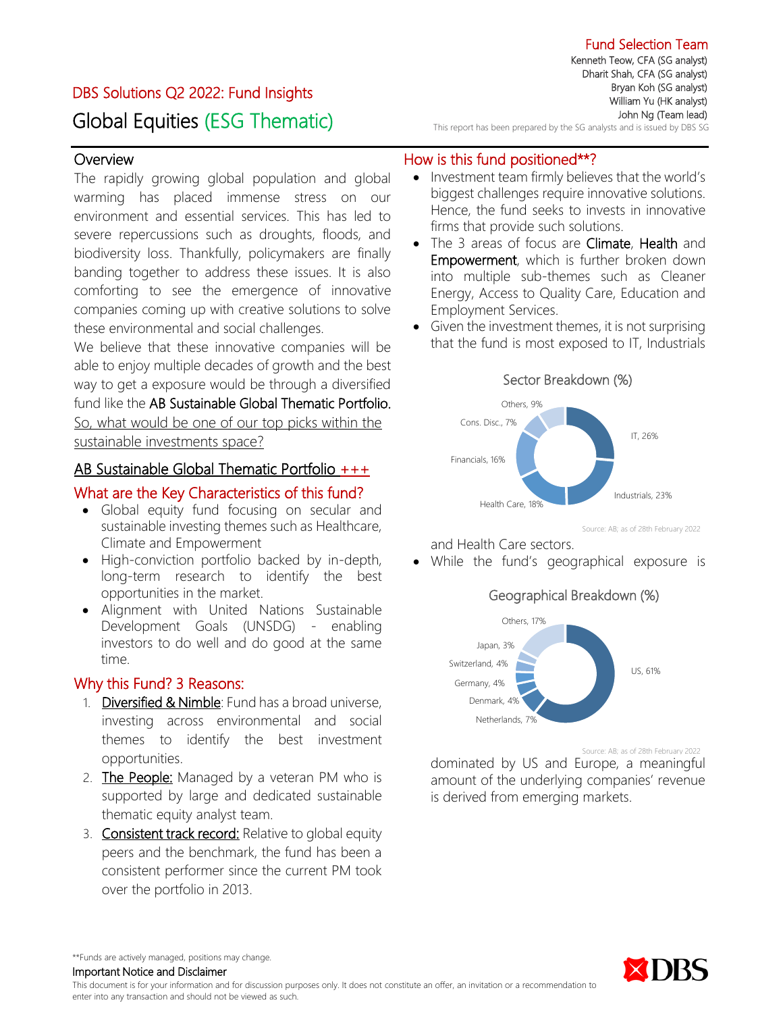#### Fund Selection Team Kenneth Teow, CFA (SG analyst)

Dharit Shah, CFA (SG analyst) Bryan Koh (SG analyst) William Yu (HK analyst) John Ng (Team lead)

DBS Solutions Q2 2022: Fund Insights Global Equities (ESG Thematic)

### **Overview**

The rapidly growing global population and global warming has placed immense stress on our environment and essential services. This has led to severe repercussions such as droughts, floods, and biodiversity loss. Thankfully, policymakers are finally banding together to address these issues. It is also comforting to see the emergence of innovative companies coming up with creative solutions to solve these environmental and social challenges.

We believe that these innovative companies will be able to enjoy multiple decades of growth and the best way to get a exposure would be through a diversified fund like the AB Sustainable Global Thematic Portfolio. So, what would be one of our top picks within the sustainable investments space?

### AB Sustainable Global Thematic Portfolio +++

# What are the Key Characteristics of this fund?

- Global equity fund focusing on secular and sustainable investing themes such as Healthcare, Climate and Empowerment
- High-conviction portfolio backed by in-depth, long-term research to identify the best opportunities in the market.
- Alignment with United Nations Sustainable Development Goals (UNSDG) - enabling investors to do well and do good at the same time.

## Why this Fund? 3 Reasons:

- 1. Diversified & Nimble: Fund has a broad universe, investing across environmental and social themes to identify the best investment opportunities.
- 2. The People: Managed by a veteran PM who is supported by large and dedicated sustainable thematic equity analyst team.
- 3. Consistent track record: Relative to global equity peers and the benchmark, the fund has been a consistent performer since the current PM took over the portfolio in 2013.

## How is this fund positioned\*\*?

Investment team firmly believes that the world's biggest challenges require innovative solutions. Hence, the fund seeks to invests in innovative firms that provide such solutions.

This report has been prepared by the SG analysts and is issued by DBS SG

- The 3 areas of focus are Climate, Health and Empowerment, which is further broken down into multiple sub-themes such as Cleaner Energy, Access to Quality Care, Education and Employment Services.
- Given the investment themes, it is not surprising that the fund is most exposed to IT, Industrials



Source: AB; as of 28th February 2022

and Health Care sectors.

• While the fund's geographical exposure is





Source: AB; as of 28th February 2022

dominated by US and Europe, a meaningful amount of the underlying companies' revenue is derived from emerging markets.



\*\*Funds are actively managed, positions may change.

Important Notice and Disclaimer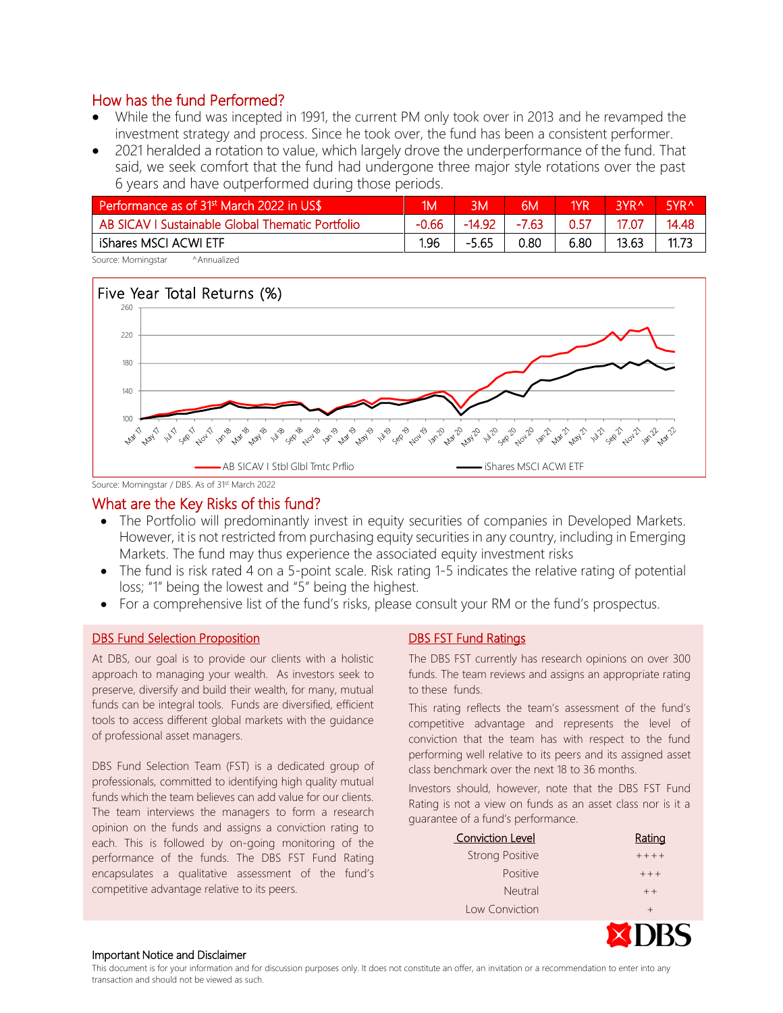- While the fund was incepted in 1991, the current PM only took over in 2013 and he revamped the investment strategy and process. Since he took over, the fund has been a consistent performer.
- 2021 heralded a rotation to value, which largely drove the underperformance of the fund. That said, we seek comfort that the fund had undergone three major style rotations over the past 6 years and have outperformed during those periods.

| Performance as of 31 <sup>st</sup> March 2022 in US\$ | ИM      | ΒМ       | 6M      | 1YR  | 3YR <sup>^</sup> | <b>SVRA</b> |
|-------------------------------------------------------|---------|----------|---------|------|------------------|-------------|
| AB SICAV I Sustainable Global Thematic Portfolio      | $-0.66$ | $-14.92$ | $-7.63$ | 0.57 | 17.07            | 14.48       |
| iShares MSCI ACWI ETF                                 | 1.96    | $-5.65$  | 0.80    | 6.80 | 13.63            | 11.73       |

Source: Morningstar ^Annualized



Source: Morningstar / DBS. As of 31<sup>st</sup> March 2022

#### What are the Key Risks of this fund?

- The Portfolio will predominantly invest in equity securities of companies in Developed Markets. However, it is not restricted from purchasing equity securities in any country, including in Emerging Markets. The fund may thus experience the associated equity investment risks
- The fund is risk rated 4 on a 5-point scale. Risk rating 1-5 indicates the relative rating of potential loss; "1" being the lowest and "5" being the highest.
- For a comprehensive list of the fund's risks, please consult your RM or the fund's prospectus.

#### DBS Fund Selection Proposition

At DBS, our goal is to provide our clients with a holistic approach to managing your wealth. As investors seek to preserve, diversify and build their wealth, for many, mutual funds can be integral tools. Funds are diversified, efficient tools to access different global markets with the guidance of professional asset managers.

DBS Fund Selection Team (FST) is a dedicated group of professionals, committed to identifying high quality mutual funds which the team believes can add value for our clients. The team interviews the managers to form a research opinion on the funds and assigns a conviction rating to each. This is followed by on-going monitoring of the performance of the funds. The DBS FST Fund Rating encapsulates a qualitative assessment of the fund's competitive advantage relative to its peers.

#### DBS FST Fund Ratings

The DBS FST currently has research opinions on over 300 funds. The team reviews and assigns an appropriate rating to these funds.

This rating reflects the team's assessment of the fund's competitive advantage and represents the level of conviction that the team has with respect to the fund performing well relative to its peers and its assigned asset class benchmark over the next 18 to 36 months.

Investors should, however, note that the DBS FST Fund Rating is not a view on funds as an asset class nor is it a guarantee of a fund's performance.

| <b>Conviction Level</b> | Rating  |
|-------------------------|---------|
| <b>Strong Positive</b>  | $+++++$ |
| <b>Positive</b>         | $++$    |
| <b>Neutral</b>          | $++$    |
| Low Conviction          | $^{+}$  |

#### Important Notice and Disclaimer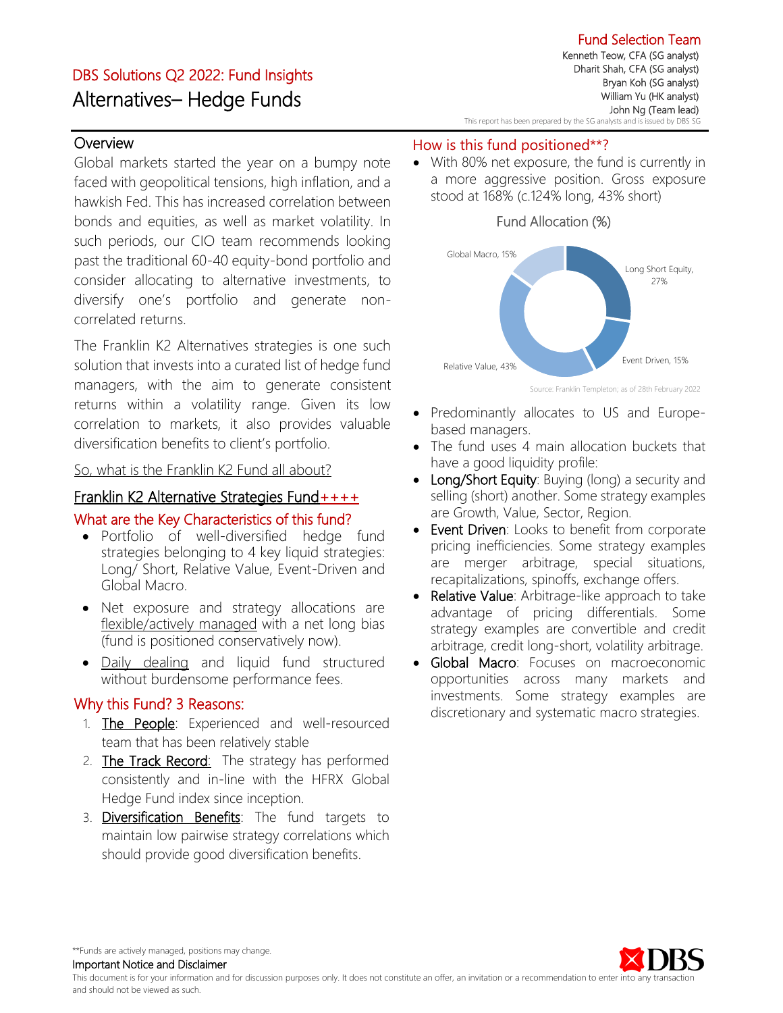# DBS Solutions Q2 2022: Fund Insights Alternatives– Hedge Funds

ֺ

## **Overview**

Global markets started the year on a bumpy note faced with geopolitical tensions, high inflation, and a hawkish Fed. This has increased correlation between bonds and equities, as well as market volatility. In such periods, our CIO team recommends looking past the traditional 60-40 equity-bond portfolio and consider allocating to alternative investments, to diversify one's portfolio and generate noncorrelated returns.

The Franklin K2 Alternatives strategies is one such solution that invests into a curated list of hedge fund managers, with the aim to generate consistent returns within a volatility range. Given its low correlation to markets, it also provides valuable diversification benefits to client's portfolio.

### So, what is the Franklin K2 Fund all about?

## Franklin K2 Alternative Strategies Fund++++

## What are the Key Characteristics of this fund?

- Portfolio of well-diversified hedge fund strategies belonging to 4 key liquid strategies: Long/ Short, Relative Value, Event-Driven and Global Macro.
- Net exposure and strategy allocations are flexible/actively managed with a net long bias (fund is positioned conservatively now).
- Daily dealing and liquid fund structured without burdensome performance fees.

## Why this Fund? 3 Reasons:

- 1. The People: Experienced and well-resourced team that has been relatively stable
- 2. The Track Record: The strategy has performed consistently and in-line with the HFRX Global Hedge Fund index since inception.
- 3. Diversification Benefits: The fund targets to maintain low pairwise strategy correlations which should provide good diversification benefits.

### How is this fund positioned\*\*?

With 80% net exposure, the fund is currently in a more aggressive position. Gross exposure stood at 168% (c.124% long, 43% short)



Source: Franklin Templeton; as of 28th February 2022

- Predominantly allocates to US and Europebased managers.
- The fund uses 4 main allocation buckets that have a good liquidity profile:
- Long/Short Equity: Buying (long) a security and selling (short) another. Some strategy examples are Growth, Value, Sector, Region.
- Event Driven: Looks to benefit from corporate pricing inefficiencies. Some strategy examples are merger arbitrage, special situations, recapitalizations, spinoffs, exchange offers.
- Relative Value: Arbitrage-like approach to take advantage of pricing differentials. Some strategy examples are convertible and credit arbitrage, credit long-short, volatility arbitrage.
- Global Macro: Focuses on macroeconomic opportunities across many markets and investments. Some strategy examples are discretionary and systematic macro strategies.



\*\*Funds are actively managed, positions may change.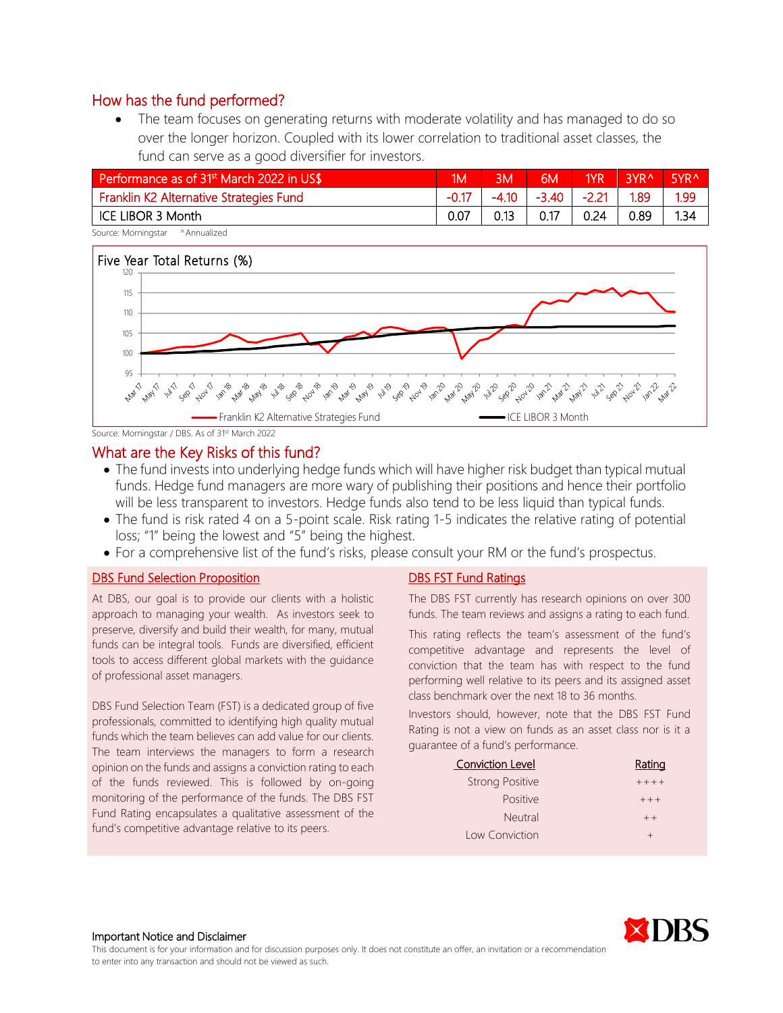The team focuses on generating returns with moderate volatility and has managed to do so over the longer horizon. Coupled with its lower correlation to traditional asset classes, the fund can serve as a good diversifier for investors.

| Performance as of 31 <sup>st</sup> March 2022 in US\$ | 1Μ   | ΒМ      | 6M    | 1YR     | <b>QVDA</b> | 5YR <sup>^</sup> |
|-------------------------------------------------------|------|---------|-------|---------|-------------|------------------|
| Franklin K2 Alternative Strategies Fund               |      | $-4.10$ | -3.40 | $-2.21$ | 1.89        | 1.99             |
| ICE LIBOR 3 Month                                     | 0.07 | 0.13    | 0.17  | 0.24    | 0.89        | 1.34             |

Source: Morningstar ^Annualized



Source: Morningstar / DBS. As of 31<sup>st</sup> March 2022

#### What are the Key Risks of this fund?

- The fund invests into underlying hedge funds which will have higher risk budget than typical mutual funds. Hedge fund managers are more wary of publishing their positions and hence their portfolio will be less transparent to investors. Hedge funds also tend to be less liquid than typical funds.
- The fund is risk rated 4 on a 5-point scale. Risk rating 1-5 indicates the relative rating of potential loss; "1" being the lowest and "5" being the highest.
- For a comprehensive list of the fund's risks, please consult your RM or the fund's prospectus.

#### DBS Fund Selection Proposition

At DBS, our goal is to provide our clients with a holistic approach to managing your wealth. As investors seek to preserve, diversify and build their wealth, for many, mutual funds can be integral tools. Funds are diversified, efficient tools to access different global markets with the guidance of professional asset managers.

DBS Fund Selection Team (FST) is a dedicated group of five professionals, committed to identifying high quality mutual funds which the team believes can add value for our clients. The team interviews the managers to form a research opinion on the funds and assigns a conviction rating to each of the funds reviewed. This is followed by on-going monitoring of the performance of the funds. The DBS FST Fund Rating encapsulates a qualitative assessment of the fund's competitive advantage relative to its peers.

#### DBS FST Fund Ratings

The DBS FST currently has research opinions on over 300 funds. The team reviews and assigns a rating to each fund.

This rating reflects the team's assessment of the fund's competitive advantage and represents the level of conviction that the team has with respect to the fund performing well relative to its peers and its assigned asset class benchmark over the next 18 to 36 months.

Investors should, however, note that the DBS FST Fund Rating is not a view on funds as an asset class nor is it a guarantee of a fund's performance.

| <b>Conviction Level</b> | Rating  |
|-------------------------|---------|
| <b>Strong Positive</b>  | $+++++$ |
| <b>Positive</b>         | $+ + +$ |
| Neutral                 | $++$    |
| Low Conviction          | $^{+}$  |



#### Important Notice and Disclaimer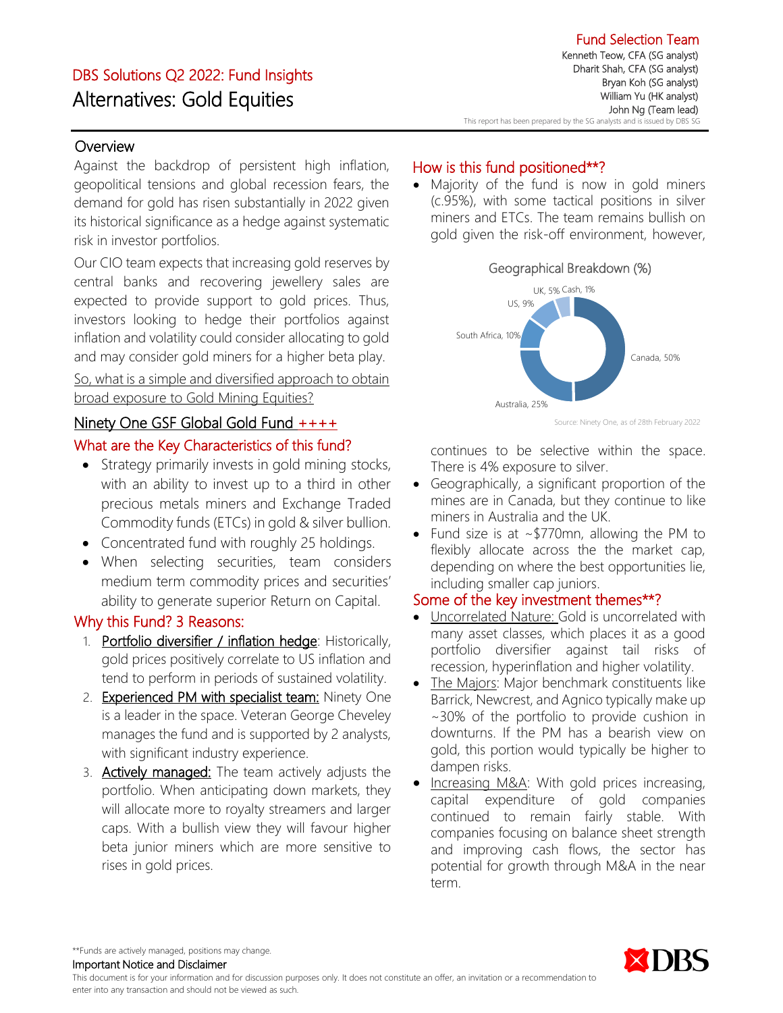# DBS Solutions Q2 2022: Fund Insights Alternatives: Gold Equities

## **Overview**

Against the backdrop of persistent high inflation, geopolitical tensions and global recession fears, the demand for gold has risen substantially in 2022 given its historical significance as a hedge against systematic risk in investor portfolios.

Our CIO team expects that increasing gold reserves by central banks and recovering jewellery sales are expected to provide support to gold prices. Thus, investors looking to hedge their portfolios against inflation and volatility could consider allocating to gold and may consider gold miners for a higher beta play.

So, what is a simple and diversified approach to obtain broad exposure to Gold Mining Equities?

#### Ninety One GSF Global Gold Fund ++++

### What are the Key Characteristics of this fund?

- Strategy primarily invests in gold mining stocks, with an ability to invest up to a third in other precious metals miners and Exchange Traded Commodity funds (ETCs) in gold & silver bullion.
- Concentrated fund with roughly 25 holdings.
- When selecting securities, team considers medium term commodity prices and securities' ability to generate superior Return on Capital.

#### Why this Fund? 3 Reasons:

- 1. Portfolio diversifier / inflation hedge: Historically, gold prices positively correlate to US inflation and tend to perform in periods of sustained volatility.
- 2. Experienced PM with specialist team: Ninety One is a leader in the space. Veteran George Cheveley manages the fund and is supported by 2 analysts, with significant industry experience.
- 3. Actively managed: The team actively adjusts the portfolio. When anticipating down markets, they will allocate more to royalty streamers and larger caps. With a bullish view they will favour higher beta junior miners which are more sensitive to rises in gold prices.

## How is this fund positioned\*\*?

• Majority of the fund is now in gold miners (c.95%), with some tactical positions in silver miners and ETCs. The team remains bullish on gold given the risk-off environment, however,



Source: Ninety One, as of 28th February 2022

continues to be selective within the space. There is 4% exposure to silver.

- Geographically, a significant proportion of the mines are in Canada, but they continue to like miners in Australia and the UK.
- Fund size is at ~\$770mn, allowing the PM to flexibly allocate across the the market cap, depending on where the best opportunities lie, including smaller cap juniors.

## Some of the key investment themes\*\*?

- Uncorrelated Nature: Gold is uncorrelated with many asset classes, which places it as a good portfolio diversifier against tail risks of recession, hyperinflation and higher volatility.
- The Majors: Major benchmark constituents like Barrick, Newcrest, and Agnico typically make up ~30% of the portfolio to provide cushion in downturns. If the PM has a bearish view on gold, this portion would typically be higher to dampen risks.
- Increasing M&A: With gold prices increasing, capital expenditure of gold companies continued to remain fairly stable. With companies focusing on balance sheet strength and improving cash flows, the sector has potential for growth through M&A in the near term.



\*\*Funds are actively managed, positions may change.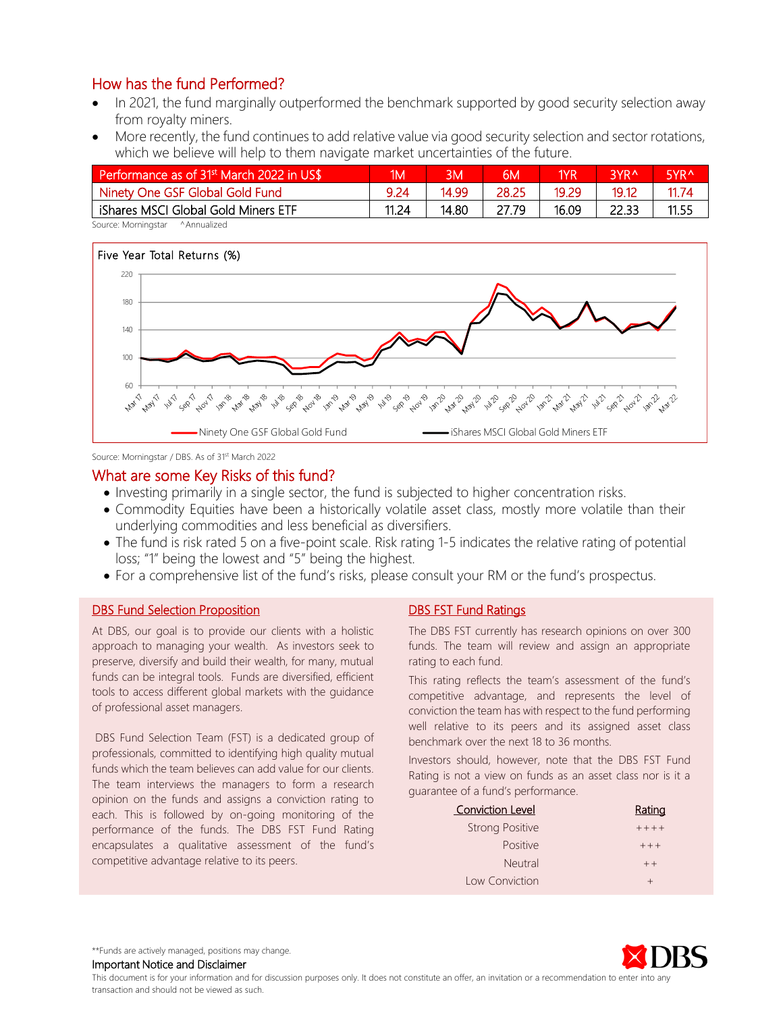- In 2021, the fund marginally outperformed the benchmark supported by good security selection away from royalty miners.
- More recently, the fund continues to add relative value via good security selection and sector rotations, which we believe will help to them navigate market uncertainties of the future.

| Performance as of 31 <sup>st</sup> March 2022 in US\$ | ١M١   | ΒМ    | 6М    | 1YR   | <b>RYRA</b> | R∨R∧  |
|-------------------------------------------------------|-------|-------|-------|-------|-------------|-------|
| Ninety One GSF Global Gold Fund                       | 9.24  | 14.99 | 28.25 | 19.29 | 19.12       | 11.74 |
| iShares MSCI Global Gold Miners ETF                   | 11.24 | 14.80 | 27.79 | 16.09 | 22.33       | 11.55 |

Source: Morningstar ^Annualized



Source: Morningstar / DBS. As of 31<sup>st</sup> March 2022

#### What are some Key Risks of this fund?

- Investing primarily in a single sector, the fund is subjected to higher concentration risks.
- Commodity Equities have been a historically volatile asset class, mostly more volatile than their underlying commodities and less beneficial as diversifiers.
- The fund is risk rated 5 on a five-point scale. Risk rating 1-5 indicates the relative rating of potential loss; "1" being the lowest and "5" being the highest.
- For a comprehensive list of the fund's risks, please consult your RM or the fund's prospectus.

#### **DBS Fund Selection Proposition**

At DBS, our goal is to provide our clients with a holistic approach to managing your wealth. As investors seek to preserve, diversify and build their wealth, for many, mutual funds can be integral tools. Funds are diversified, efficient tools to access different global markets with the guidance of professional asset managers.

DBS Fund Selection Team (FST) is a dedicated group of professionals, committed to identifying high quality mutual funds which the team believes can add value for our clients. The team interviews the managers to form a research opinion on the funds and assigns a conviction rating to each. This is followed by on-going monitoring of the performance of the funds. The DBS FST Fund Rating encapsulates a qualitative assessment of the fund's competitive advantage relative to its peers.

#### DBS FST Fund Ratings

The DBS FST currently has research opinions on over 300 funds. The team will review and assign an appropriate rating to each fund.

This rating reflects the team's assessment of the fund's competitive advantage, and represents the level of conviction the team has with respect to the fund performing well relative to its peers and its assigned asset class benchmark over the next 18 to 36 months.

Investors should, however, note that the DBS FST Fund Rating is not a view on funds as an asset class nor is it a guarantee of a fund's performance.

| <b>Conviction Level</b> | Rating  |
|-------------------------|---------|
| <b>Strong Positive</b>  | $+++++$ |
| <b>Positive</b>         | $++ +$  |
| <b>Neutral</b>          | $++$    |
| Low Conviction          | $^{+}$  |



\*\*Funds are actively managed, positions may change.

Important Notice and Disclaimer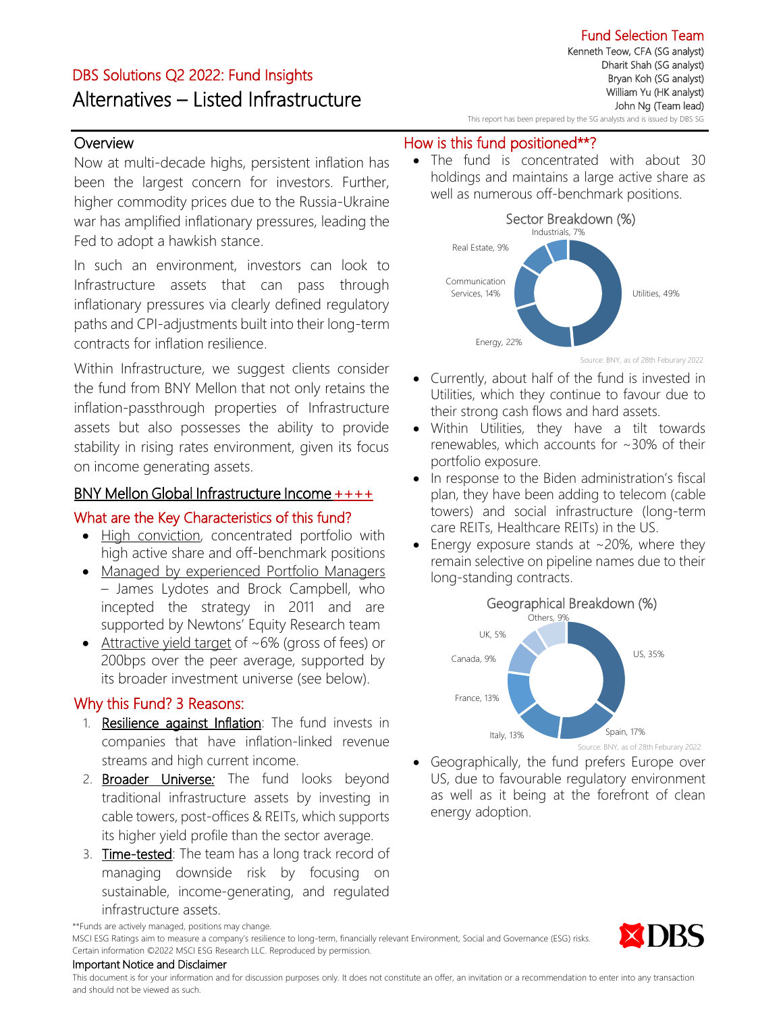# DBS Solutions Q2 2022: Fund Insights Alternatives – Listed Infrastructure

**Overview** 

Now at multi-decade highs, persistent inflation has been the largest concern for investors. Further, higher commodity prices due to the Russia-Ukraine war has amplified inflationary pressures, leading the Fed to adopt a hawkish stance.

In such an environment, investors can look to Infrastructure assets that can pass through inflationary pressures via clearly defined regulatory paths and CPI-adjustments built into their long-term contracts for inflation resilience.

Within Infrastructure, we suggest clients consider the fund from BNY Mellon that not only retains the inflation-passthrough properties of Infrastructure assets but also possesses the ability to provide stability in rising rates environment, given its focus on income generating assets.

## BNY Mellon Global Infrastructure Income ++++

## What are the Key Characteristics of this fund?

- High conviction, concentrated portfolio with high active share and off-benchmark positions
- Managed by experienced Portfolio Managers – James Lydotes and Brock Campbell, who incepted the strategy in 2011 and are supported by Newtons' Equity Research team
- Attractive yield target of ~6% (gross of fees) or 200bps over the peer average, supported by its broader investment universe (see below).

## Why this Fund? 3 Reasons:

- 1. Resilience against Inflation: The fund invests in companies that have inflation-linked revenue streams and high current income.
- 2. Broader Universe*:* The fund looks beyond traditional infrastructure assets by investing in cable towers, post-offices & REITs, which supports its higher yield profile than the sector average.
- 3. Time-tested: The team has a long track record of managing downside risk by focusing on sustainable, income-generating, and regulated infrastructure assets.

Fund Selection Team Kenneth Teow, CFA (SG analyst) Dharit Shah (SG analyst) Bryan Koh (SG analyst) William Yu (HK analyst) John Ng (Team lead)

#### This report has been prepared by the SG analysts and is issued by DBS SG

## How is this fund positioned\*\*?

• The fund is concentrated with about 30 holdings and maintains a large active share as well as numerous off-benchmark positions.



Source: BNY, as of 28th Feburary 2022

- Currently, about half of the fund is invested in Utilities, which they continue to favour due to their strong cash flows and hard assets.
- Within Utilities, they have a tilt towards renewables, which accounts for ~30% of their portfolio exposure.
- In response to the Biden administration's fiscal plan, they have been adding to telecom (cable towers) and social infrastructure (long-term care REITs, Healthcare REITs) in the US.
- Energy exposure stands at  $\sim$ 20%, where they remain selective on pipeline names due to their long-standing contracts.



• Geographically, the fund prefers Europe over US, due to favourable regulatory environment as well as it being at the forefront of clean energy adoption.



\*\*Funds are actively managed, positions may change.

MSCI ESG Ratings aim to measure a company's resilience to long-term, financially relevant Environment, Social and Governance (ESG) risks. Certain information ©2022 MSCI ESG Research LLC. Reproduced by permission.

#### Important Notice and Disclaimer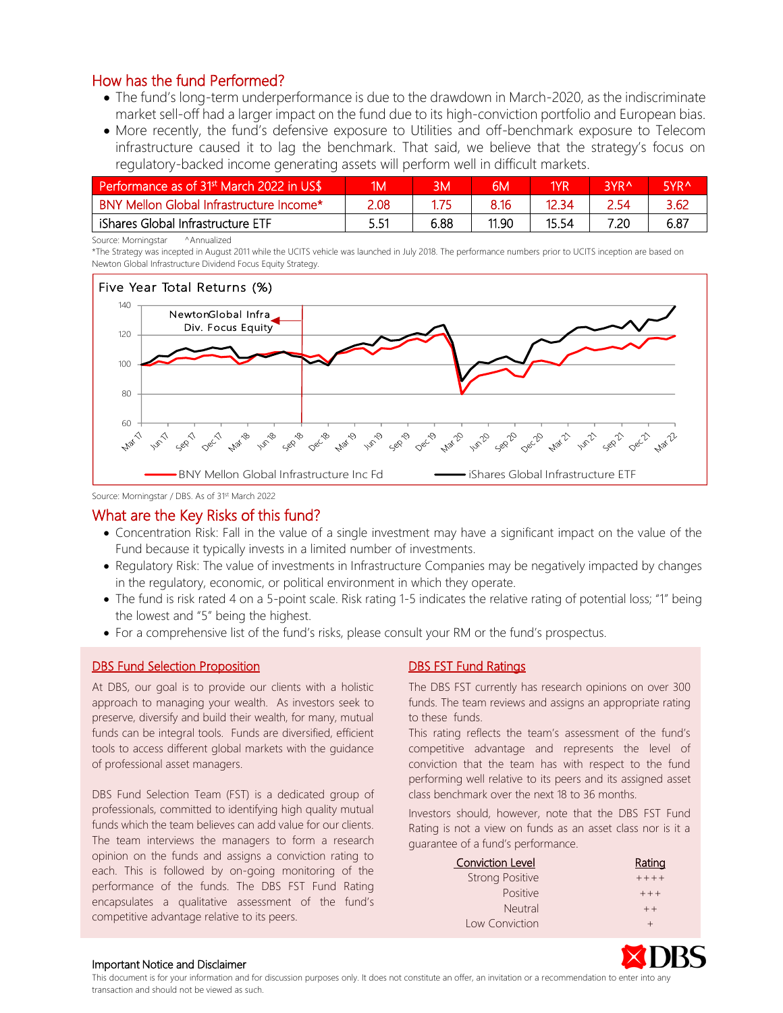- The fund's long-term underperformance is due to the drawdown in March-2020, as the indiscriminate market sell-off had a larger impact on the fund due to its high-conviction portfolio and European bias.
- More recently, the fund's defensive exposure to Utilities and off-benchmark exposure to Telecom infrastructure caused it to lag the benchmark. That said, we believe that the strategy's focus on regulatory-backed income generating assets will perform well in difficult markets.

| Performance as of 31 <sup>st</sup> March 2022 in US\$ | ۱M۱  |      | 6M    | 1YR   | 3YR <sup>A</sup> | <b>EVDA</b> |
|-------------------------------------------------------|------|------|-------|-------|------------------|-------------|
| BNY Mellon Global Infrastructure Income*              | 2.08 |      | 8.16  | 12.34 | 2.54             | 3.62        |
| iShares Global Infrastructure ETF                     | 551  | 6.88 | 11.90 | 15.54 | 7.20             | 6.87        |

Source: Morningstar ^Annualized

\*The Strategy was incepted in August 2011 while the UCITS vehicle was launched in July 2018. The performance numbers prior to UCITS inception are based on Newton Global Infrastructure Dividend Focus Equity Strategy.



Source: Morningstar / DBS. As of 31st March 2022

## What are the Key Risks of this fund?

- Concentration Risk: Fall in the value of a single investment may have a significant impact on the value of the Fund because it typically invests in a limited number of investments.
- Regulatory Risk: The value of investments in Infrastructure Companies may be negatively impacted by changes in the regulatory, economic, or political environment in which they operate.
- The fund is risk rated 4 on a 5-point scale. Risk rating 1-5 indicates the relative rating of potential loss; "1" being the lowest and "5" being the highest.
- For a comprehensive list of the fund's risks, please consult your RM or the fund's prospectus.

#### DBS Fund Selection Proposition

At DBS, our goal is to provide our clients with a holistic approach to managing your wealth. As investors seek to preserve, diversify and build their wealth, for many, mutual funds can be integral tools. Funds are diversified, efficient tools to access different global markets with the guidance of professional asset managers.

DBS Fund Selection Team (FST) is a dedicated group of professionals, committed to identifying high quality mutual funds which the team believes can add value for our clients. The team interviews the managers to form a research opinion on the funds and assigns a conviction rating to each. This is followed by on-going monitoring of the performance of the funds. The DBS FST Fund Rating encapsulates a qualitative assessment of the fund's competitive advantage relative to its peers.

#### DBS FST Fund Ratings

The DBS FST currently has research opinions on over 300 funds. The team reviews and assigns an appropriate rating to these funds.

This rating reflects the team's assessment of the fund's competitive advantage and represents the level of conviction that the team has with respect to the fund performing well relative to its peers and its assigned asset class benchmark over the next 18 to 36 months.

Investors should, however, note that the DBS FST Fund Rating is not a view on funds as an asset class nor is it a guarantee of a fund's performance.

| <b>Conviction Level</b> | Rating    |
|-------------------------|-----------|
| <b>Strong Positive</b>  | $+ + + +$ |
| <b>Positive</b>         | $++ +$    |
| Neutral                 | $++$      |
| Low Conviction          |           |



#### Important Notice and Disclaimer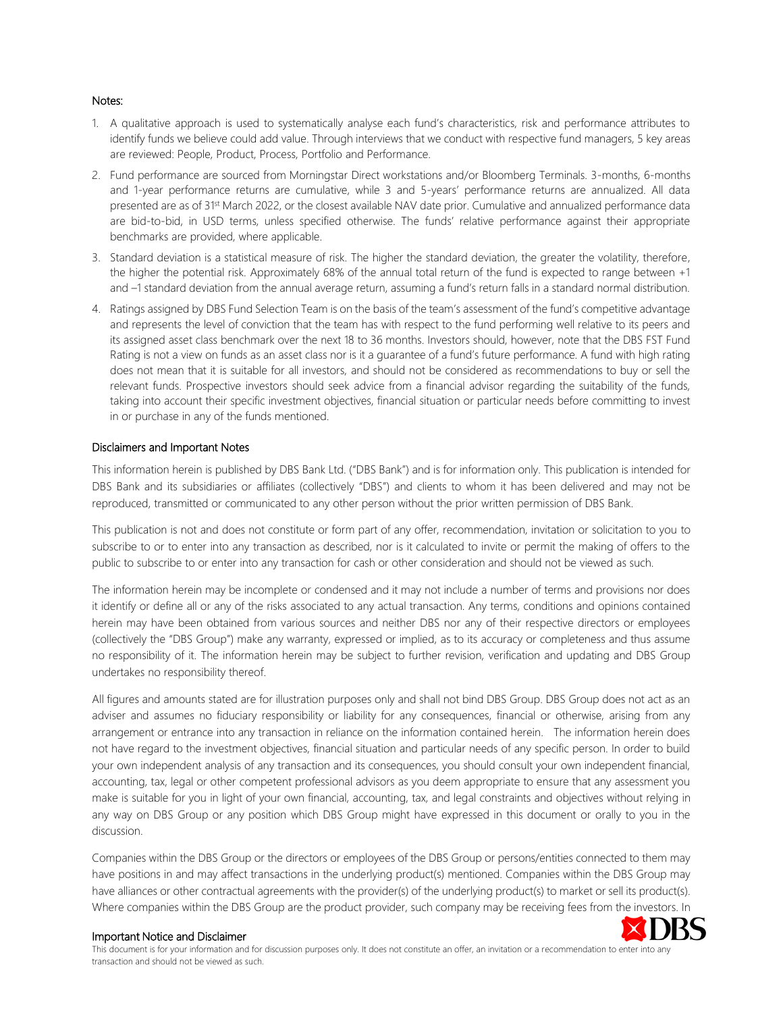#### Notes:

- 1. A qualitative approach is used to systematically analyse each fund's characteristics, risk and performance attributes to identify funds we believe could add value. Through interviews that we conduct with respective fund managers, 5 key areas are reviewed: People, Product, Process, Portfolio and Performance.
- 2. Fund performance are sourced from Morningstar Direct workstations and/or Bloomberg Terminals. 3-months, 6-months and 1-year performance returns are cumulative, while 3 and 5-years' performance returns are annualized. All data presented are as of 31<sup>st</sup> March 2022, or the closest available NAV date prior. Cumulative and annualized performance data are bid-to-bid, in USD terms, unless specified otherwise. The funds' relative performance against their appropriate benchmarks are provided, where applicable.
- 3. Standard deviation is a statistical measure of risk. The higher the standard deviation, the greater the volatility, therefore, the higher the potential risk. Approximately 68% of the annual total return of the fund is expected to range between +1 and -1 standard deviation from the annual average return, assuming a fund's return falls in a standard normal distribution.
- 4. Ratings assigned by DBS Fund Selection Team is on the basis of the team's assessment of the fund's competitive advantage and represents the level of conviction that the team has with respect to the fund performing well relative to its peers and its assigned asset class benchmark over the next 18 to 36 months. Investors should, however, note that the DBS FST Fund Rating is not a view on funds as an asset class nor is it a quarantee of a fund's future performance. A fund with high rating does not mean that it is suitable for all investors, and should not be considered as recommendations to buy or sell the relevant funds. Prospective investors should seek advice from a financial advisor regarding the suitability of the funds, taking into account their specific investment objectives, financial situation or particular needs before committing to invest in or purchase in any of the funds mentioned.

#### Disclaimers and Important Notes

This information herein is published by DBS Bank Ltd. ("DBS Bank") and is for information only. This publication is intended for DBS Bank and its subsidiaries or affiliates (collectively "DBS") and clients to whom it has been delivered and may not be reproduced, transmitted or communicated to any other person without the prior written permission of DBS Bank.

This publication is not and does not constitute or form part of any offer, recommendation, invitation or solicitation to you to subscribe to or to enter into any transaction as described, nor is it calculated to invite or permit the making of offers to the public to subscribe to or enter into any transaction for cash or other consideration and should not be viewed as such.

The information herein may be incomplete or condensed and it may not include a number of terms and provisions nor does it identify or define all or any of the risks associated to any actual transaction. Any terms, conditions and opinions contained herein may have been obtained from various sources and neither DBS nor any of their respective directors or employees (collectively the "DBS Group") make any warranty, expressed or implied, as to its accuracy or completeness and thus assume no responsibility of it. The information herein may be subject to further revision, verification and updating and DBS Group undertakes no responsibility thereof.

All figures and amounts stated are for illustration purposes only and shall not bind DBS Group. DBS Group does not act as an adviser and assumes no fiduciary responsibility or liability for any consequences, financial or otherwise, arising from any arrangement or entrance into any transaction in reliance on the information contained herein. The information herein does not have regard to the investment objectives, financial situation and particular needs of any specific person. In order to build your own independent analysis of any transaction and its consequences, you should consult your own independent financial, accounting, tax, legal or other competent professional advisors as you deem appropriate to ensure that any assessment you make is suitable for you in light of your own financial, accounting, tax, and legal constraints and objectives without relying in any way on DBS Group or any position which DBS Group might have expressed in this document or orally to you in the discussion.

Companies within the DBS Group or the directors or employees of the DBS Group or persons/entities connected to them may have positions in and may affect transactions in the underlying product(s) mentioned. Companies within the DBS Group may have alliances or other contractual agreements with the provider(s) of the underlying product(s) to market or sell its product(s). Where companies within the DBS Group are the product provider, such company may be receiving fees from the investors. In



#### Important Notice and Disclaimer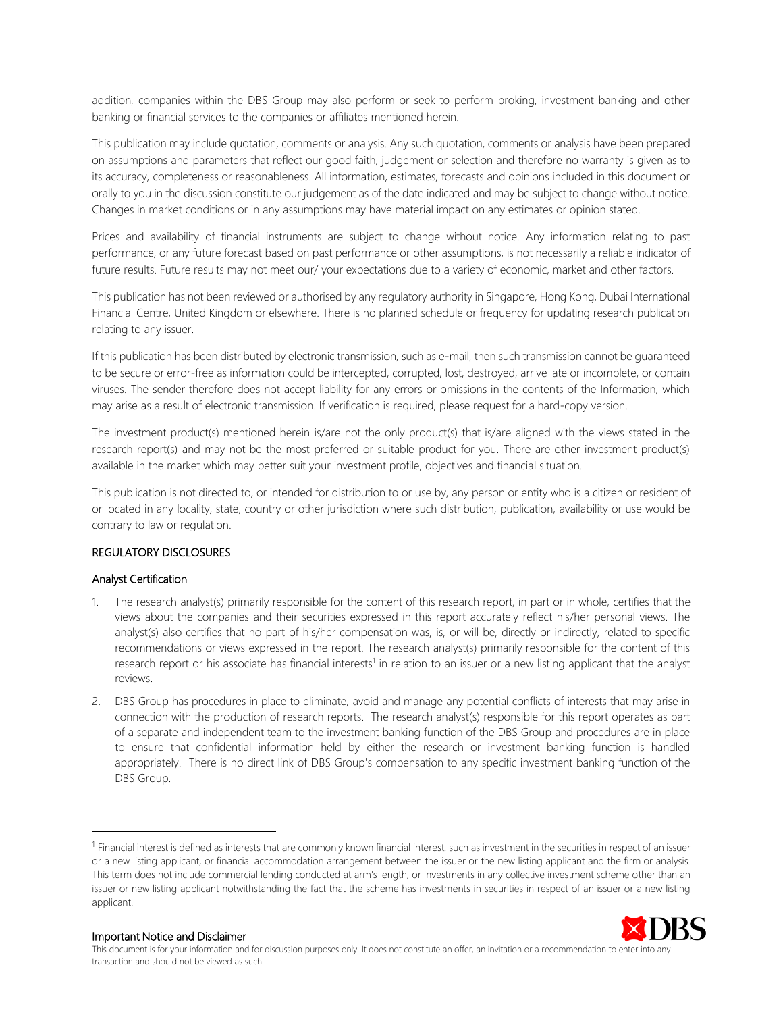addition, companies within the DBS Group may also perform or seek to perform broking, investment banking and other banking or financial services to the companies or affiliates mentioned herein.

This publication may include quotation, comments or analysis. Any such quotation, comments or analysis have been prepared on assumptions and parameters that reflect our good faith, judgement or selection and therefore no warranty is given as to its accuracy, completeness or reasonableness. All information, estimates, forecasts and opinions included in this document or orally to you in the discussion constitute our judgement as of the date indicated and may be subject to change without notice. Changes in market conditions or in any assumptions may have material impact on any estimates or opinion stated.

Prices and availability of financial instruments are subject to change without notice. Any information relating to past performance, or any future forecast based on past performance or other assumptions, is not necessarily a reliable indicator of future results. Future results may not meet our/ your expectations due to a variety of economic, market and other factors.

This publication has not been reviewed or authorised by any regulatory authority in Singapore, Hong Kong, Dubai International Financial Centre, United Kingdom or elsewhere. There is no planned schedule or frequency for updating research publication relating to any issuer.

If this publication has been distributed by electronic transmission, such as e-mail, then such transmission cannot be guaranteed to be secure or error-free as information could be intercepted, corrupted, lost, destroyed, arrive late or incomplete, or contain viruses. The sender therefore does not accept liability for any errors or omissions in the contents of the Information, which may arise as a result of electronic transmission. If verification is required, please request for a hard-copy version.

The investment product(s) mentioned herein is/are not the only product(s) that is/are aligned with the views stated in the research report(s) and may not be the most preferred or suitable product for you. There are other investment product(s) available in the market which may better suit your investment profile, objectives and financial situation.

This publication is not directed to, or intended for distribution to or use by, any person or entity who is a citizen or resident of or located in any locality, state, country or other jurisdiction where such distribution, publication, availability or use would be contrary to law or regulation.

#### REGULATORY DISCLOSURES

#### Analyst Certification

- 1. The research analyst(s) primarily responsible for the content of this research report, in part or in whole, certifies that the views about the companies and their securities expressed in this report accurately reflect his/her personal views. The analyst(s) also certifies that no part of his/her compensation was, is, or will be, directly or indirectly, related to specific recommendations or views expressed in the report. The research analyst(s) primarily responsible for the content of this research report or his associate has financial interests<sup>1</sup> in relation to an issuer or a new listing applicant that the analyst reviews.
- 2. DBS Group has procedures in place to eliminate, avoid and manage any potential conflicts of interests that may arise in connection with the production of research reports. The research analyst(s) responsible for this report operates as part of a separate and independent team to the investment banking function of the DBS Group and procedures are in place to ensure that confidential information held by either the research or investment banking function is handled appropriately. There is no direct link of DBS Group's compensation to any specific investment banking function of the DBS Group.

<sup>&</sup>lt;sup>1</sup> Financial interest is defined as interests that are commonly known financial interest, such as investment in the securities in respect of an issuer or a new listing applicant, or financial accommodation arrangement between the issuer or the new listing applicant and the firm or analysis. This term does not include commercial lending conducted at arm's length, or investments in any collective investment scheme other than an issuer or new listing applicant notwithstanding the fact that the scheme has investments in securities in respect of an issuer or a new listing applicant.